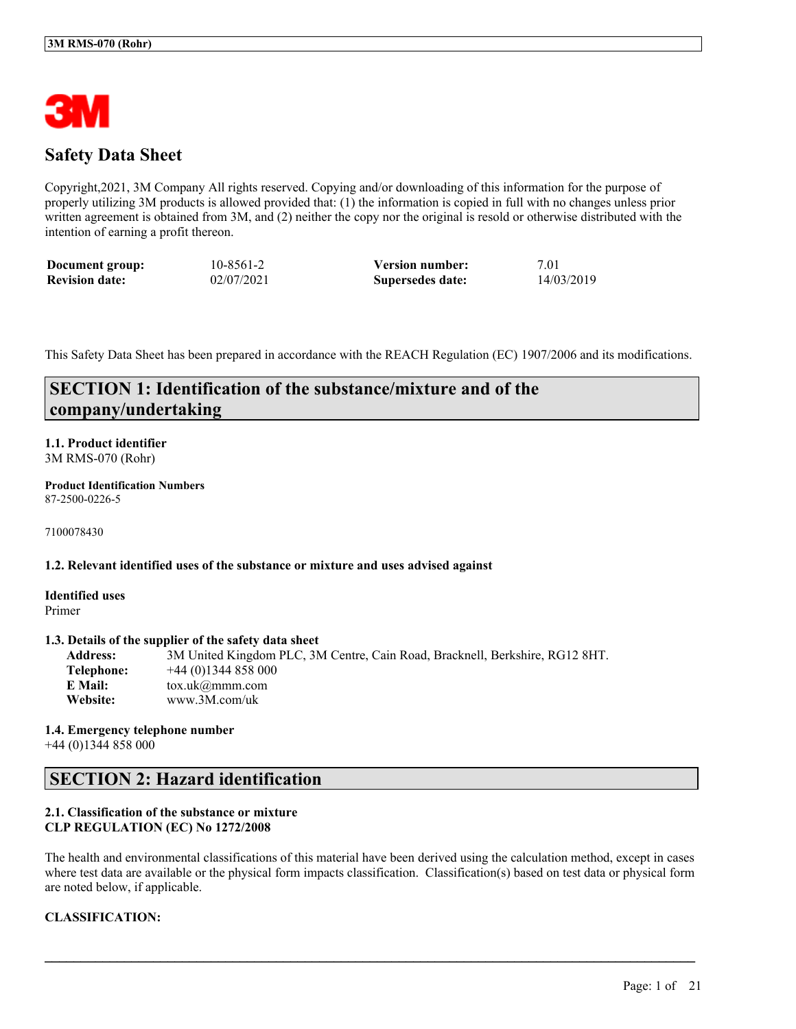

## **Safety Data Sheet**

Copyright,2021, 3M Company All rights reserved. Copying and/or downloading of this information for the purpose of properly utilizing 3M products is allowed provided that: (1) the information is copied in full with no changes unless prior written agreement is obtained from 3M, and (2) neither the copy nor the original is resold or otherwise distributed with the intention of earning a profit thereon.

| Document group:       | 10-8561-2  | <b>Version number:</b> | 7.01       |
|-----------------------|------------|------------------------|------------|
| <b>Revision date:</b> | 02/07/2021 | Supersedes date:       | 14/03/2019 |

This Safety Data Sheet has been prepared in accordance with the REACH Regulation (EC) 1907/2006 and its modifications.

## **SECTION 1: Identification of the substance/mixture and of the company/undertaking**

## **1.1. Product identifier** 3M RMS-070 (Rohr)

**Product Identification Numbers** 87-2500-0226-5

7100078430

#### **1.2. Relevant identified uses of the substance or mixture and uses advised against**

**Identified uses** Primer

## **1.3. Details of the supplier of the safety data sheet**

**Address:** 3M United Kingdom PLC, 3M Centre, Cain Road, Bracknell, Berkshire, RG12 8HT. **Telephone:** +44 (0)1344 858 000 **E Mail:** tox.uk@mmm.com **Website:** www.3M.com/uk

**1.4. Emergency telephone number** +44 (0)1344 858 000

## **SECTION 2: Hazard identification**

## **2.1. Classification of the substance or mixture CLP REGULATION (EC) No 1272/2008**

The health and environmental classifications of this material have been derived using the calculation method, except in cases where test data are available or the physical form impacts classification. Classification(s) based on test data or physical form are noted below, if applicable.

 $\mathcal{L}_\mathcal{L} = \mathcal{L}_\mathcal{L} = \mathcal{L}_\mathcal{L} = \mathcal{L}_\mathcal{L} = \mathcal{L}_\mathcal{L} = \mathcal{L}_\mathcal{L} = \mathcal{L}_\mathcal{L} = \mathcal{L}_\mathcal{L} = \mathcal{L}_\mathcal{L} = \mathcal{L}_\mathcal{L} = \mathcal{L}_\mathcal{L} = \mathcal{L}_\mathcal{L} = \mathcal{L}_\mathcal{L} = \mathcal{L}_\mathcal{L} = \mathcal{L}_\mathcal{L} = \mathcal{L}_\mathcal{L} = \mathcal{L}_\mathcal{L}$ 

## **CLASSIFICATION:**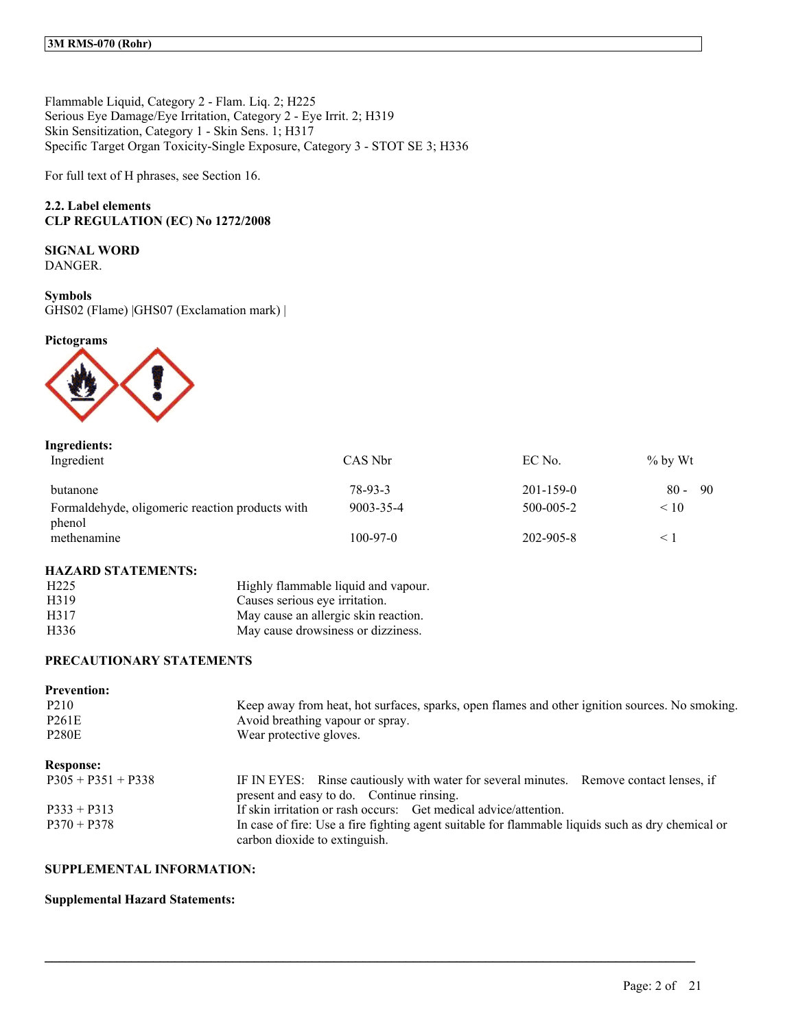Flammable Liquid, Category 2 - Flam. Liq. 2; H225 Serious Eye Damage/Eye Irritation, Category 2 - Eye Irrit. 2; H319 Skin Sensitization, Category 1 - Skin Sens. 1; H317 Specific Target Organ Toxicity-Single Exposure, Category 3 - STOT SE 3; H336

For full text of H phrases, see Section 16.

## **2.2. Label elements CLP REGULATION (EC) No 1272/2008**

## **SIGNAL WORD**

DANGER.

#### **Symbols**

GHS02 (Flame) |GHS07 (Exclamation mark) |

## **Pictograms**



#### **Ingredients:**

| Ingredient                                      | CAS Nbr        | EC No.          | $\%$ by Wt    |
|-------------------------------------------------|----------------|-----------------|---------------|
| butanone                                        | 78-93-3        | $201 - 159 - 0$ | -90<br>$80 -$ |
| Formaldehyde, oligomeric reaction products with | 9003-35-4      | 500-005-2       | < 10          |
| phenol<br>methenamine                           | $100 - 97 - 0$ | 202-905-8       |               |

#### **HAZARD STATEMENTS:**

| H <sub>225</sub> | Highly flammable liquid and vapour.  |
|------------------|--------------------------------------|
| H319             | Causes serious eye irritation.       |
| H317             | May cause an allergic skin reaction. |
| H <sub>336</sub> | May cause drowsiness or dizziness.   |

## **PRECAUTIONARY STATEMENTS**

| <b>Prevention:</b>   |                                                                                                                                     |
|----------------------|-------------------------------------------------------------------------------------------------------------------------------------|
| P <sub>2</sub> 10    | Keep away from heat, hot surfaces, sparks, open flames and other ignition sources. No smoking.                                      |
| <b>P261E</b>         | Avoid breathing vapour or spray.                                                                                                    |
| <b>P280E</b>         | Wear protective gloves.                                                                                                             |
| <b>Response:</b>     |                                                                                                                                     |
| $P305 + P351 + P338$ | IF IN EYES: Rinse cautiously with water for several minutes. Remove contact lenses, if<br>present and easy to do. Continue rinsing. |
| $P333 + P313$        | If skin irritation or rash occurs: Get medical advice/attention.                                                                    |
| $P370 + P378$        | In case of fire: Use a fire fighting agent suitable for flammable liquids such as dry chemical or<br>carbon dioxide to extinguish.  |

 $\mathcal{L}_\mathcal{L} = \mathcal{L}_\mathcal{L} = \mathcal{L}_\mathcal{L} = \mathcal{L}_\mathcal{L} = \mathcal{L}_\mathcal{L} = \mathcal{L}_\mathcal{L} = \mathcal{L}_\mathcal{L} = \mathcal{L}_\mathcal{L} = \mathcal{L}_\mathcal{L} = \mathcal{L}_\mathcal{L} = \mathcal{L}_\mathcal{L} = \mathcal{L}_\mathcal{L} = \mathcal{L}_\mathcal{L} = \mathcal{L}_\mathcal{L} = \mathcal{L}_\mathcal{L} = \mathcal{L}_\mathcal{L} = \mathcal{L}_\mathcal{L}$ 

## **SUPPLEMENTAL INFORMATION:**

## **Supplemental Hazard Statements:**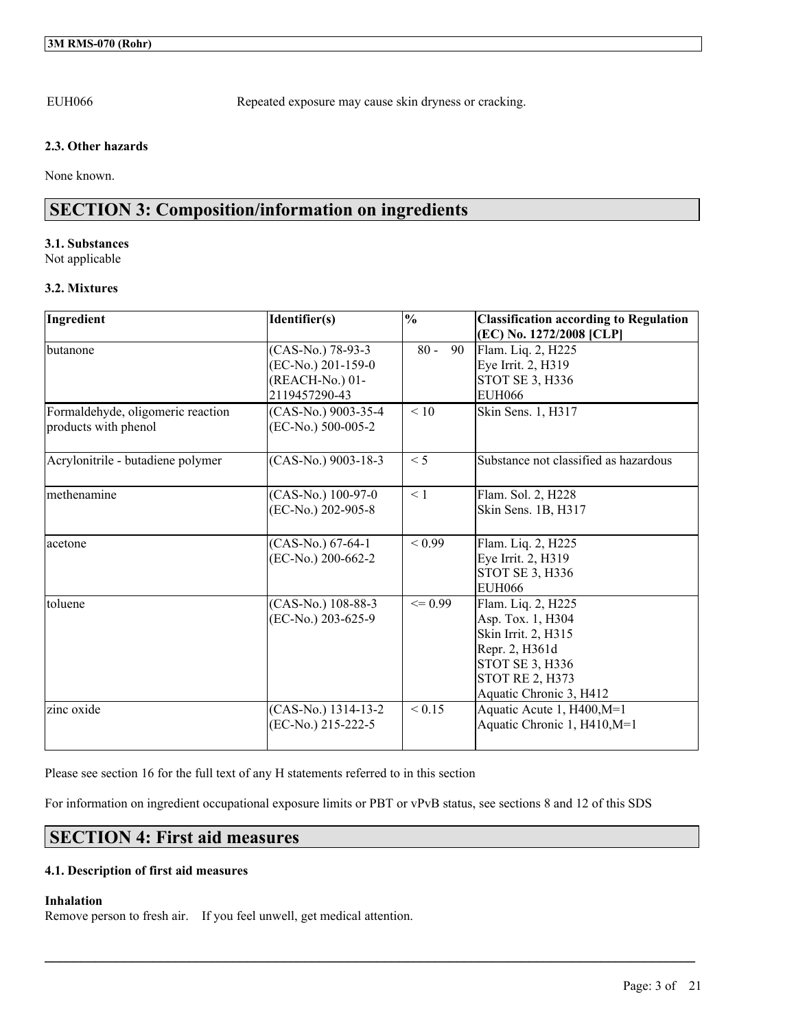EUH066 Repeated exposure may cause skin dryness or cracking.

## **2.3. Other hazards**

None known.

## **SECTION 3: Composition/information on ingredients**

## **3.1. Substances**

Not applicable

## **3.2. Mixtures**

| Ingredient                        | Identifier(s)         | $\frac{0}{0}$ | <b>Classification according to Regulation</b> |
|-----------------------------------|-----------------------|---------------|-----------------------------------------------|
|                                   |                       |               | (EC) No. 1272/2008 [CLP]                      |
| butanone                          | (CAS-No.) 78-93-3     | $80 -$<br>90  | Flam. Liq. 2, H225                            |
|                                   | (EC-No.) 201-159-0    |               | Eye Irrit. 2, H319                            |
|                                   | (REACH-No.) 01-       |               | <b>STOT SE 3, H336</b>                        |
|                                   | 2119457290-43         |               | <b>EUH066</b>                                 |
| Formaldehyde, oligomeric reaction | (CAS-No.) 9003-35-4   | $\leq 10$     | Skin Sens. 1, H317                            |
| products with phenol              | (EC-No.) 500-005-2    |               |                                               |
|                                   |                       |               |                                               |
| Acrylonitrile - butadiene polymer | $(CAS-No.)$ 9003-18-3 | $\leq 5$      | Substance not classified as hazardous         |
|                                   |                       |               |                                               |
| methenamine                       | (CAS-No.) 100-97-0    | $\leq 1$      | Flam. Sol. 2, H228                            |
|                                   | (EC-No.) 202-905-8    |               | Skin Sens. 1B, H317                           |
|                                   |                       |               |                                               |
| acetone                           | $(CAS-No.) 67-64-1$   | < 0.99        | Flam. Liq. 2, H225                            |
|                                   | (EC-No.) 200-662-2    |               | Eye Irrit. 2, H319                            |
|                                   |                       |               | STOT SE 3, H336                               |
|                                   |                       |               | <b>EUH066</b>                                 |
| toluene                           | (CAS-No.) 108-88-3    | $\leq$ 0.99   | Flam. Liq. 2, H225                            |
|                                   | (EC-No.) 203-625-9    |               | Asp. Tox. 1, H304                             |
|                                   |                       |               | Skin Irrit. 2, H315                           |
|                                   |                       |               | Repr. 2, H361d                                |
|                                   |                       |               | STOT SE 3, H336                               |
|                                   |                       |               | <b>STOT RE 2, H373</b>                        |
|                                   |                       |               | Aquatic Chronic 3, H412                       |
| zinc oxide                        | (CAS-No.) 1314-13-2   | < 0.15        | Aquatic Acute 1, H400, M=1                    |
|                                   | (EC-No.) 215-222-5    |               | Aquatic Chronic 1, H410, M=1                  |
|                                   |                       |               |                                               |

Please see section 16 for the full text of any H statements referred to in this section

For information on ingredient occupational exposure limits or PBT or vPvB status, see sections 8 and 12 of this SDS

 $\mathcal{L}_\mathcal{L} = \mathcal{L}_\mathcal{L} = \mathcal{L}_\mathcal{L} = \mathcal{L}_\mathcal{L} = \mathcal{L}_\mathcal{L} = \mathcal{L}_\mathcal{L} = \mathcal{L}_\mathcal{L} = \mathcal{L}_\mathcal{L} = \mathcal{L}_\mathcal{L} = \mathcal{L}_\mathcal{L} = \mathcal{L}_\mathcal{L} = \mathcal{L}_\mathcal{L} = \mathcal{L}_\mathcal{L} = \mathcal{L}_\mathcal{L} = \mathcal{L}_\mathcal{L} = \mathcal{L}_\mathcal{L} = \mathcal{L}_\mathcal{L}$ 

## **SECTION 4: First aid measures**

## **4.1. Description of first aid measures**

## **Inhalation**

Remove person to fresh air. If you feel unwell, get medical attention.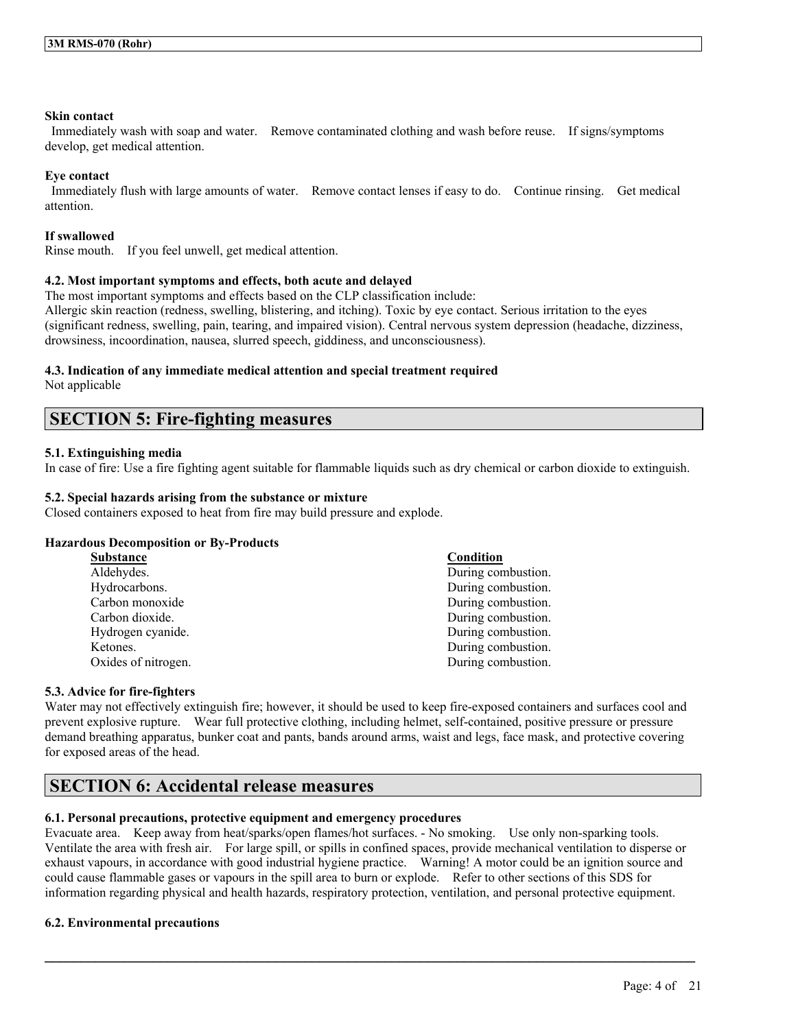### **Skin contact**

Immediately wash with soap and water. Remove contaminated clothing and wash before reuse. If signs/symptoms develop, get medical attention.

## **Eye contact**

Immediately flush with large amounts of water. Remove contact lenses if easy to do. Continue rinsing. Get medical attention.

## **If swallowed**

Rinse mouth. If you feel unwell, get medical attention.

## **4.2. Most important symptoms and effects, both acute and delayed**

The most important symptoms and effects based on the CLP classification include: Allergic skin reaction (redness, swelling, blistering, and itching). Toxic by eye contact. Serious irritation to the eyes (significant redness, swelling, pain, tearing, and impaired vision). Central nervous system depression (headache, dizziness, drowsiness, incoordination, nausea, slurred speech, giddiness, and unconsciousness).

## **4.3. Indication of any immediate medical attention and special treatment required**

Not applicable

## **SECTION 5: Fire-fighting measures**

## **5.1. Extinguishing media**

In case of fire: Use a fire fighting agent suitable for flammable liquids such as dry chemical or carbon dioxide to extinguish.

## **5.2. Special hazards arising from the substance or mixture**

Closed containers exposed to heat from fire may build pressure and explode.

## **Hazardous Decomposition or By-Products**

| Substance           | Condition          |
|---------------------|--------------------|
| Aldehydes.          | During combustion. |
| Hydrocarbons.       | During combustion. |
| Carbon monoxide     | During combustion. |
| Carbon dioxide.     | During combustion. |
| Hydrogen cyanide.   | During combustion. |
| Ketones.            | During combustion. |
| Oxides of nitrogen. | During combustion. |

## **5.3. Advice for fire-fighters**

Water may not effectively extinguish fire; however, it should be used to keep fire-exposed containers and surfaces cool and prevent explosive rupture. Wear full protective clothing, including helmet, self-contained, positive pressure or pressure demand breathing apparatus, bunker coat and pants, bands around arms, waist and legs, face mask, and protective covering for exposed areas of the head.

## **SECTION 6: Accidental release measures**

## **6.1. Personal precautions, protective equipment and emergency procedures**

Evacuate area. Keep away from heat/sparks/open flames/hot surfaces. - No smoking. Use only non-sparking tools. Ventilate the area with fresh air. For large spill, or spills in confined spaces, provide mechanical ventilation to disperse or exhaust vapours, in accordance with good industrial hygiene practice. Warning! A motor could be an ignition source and could cause flammable gases or vapours in the spill area to burn or explode. Refer to other sections of this SDS for information regarding physical and health hazards, respiratory protection, ventilation, and personal protective equipment.

 $\mathcal{L}_\mathcal{L} = \mathcal{L}_\mathcal{L} = \mathcal{L}_\mathcal{L} = \mathcal{L}_\mathcal{L} = \mathcal{L}_\mathcal{L} = \mathcal{L}_\mathcal{L} = \mathcal{L}_\mathcal{L} = \mathcal{L}_\mathcal{L} = \mathcal{L}_\mathcal{L} = \mathcal{L}_\mathcal{L} = \mathcal{L}_\mathcal{L} = \mathcal{L}_\mathcal{L} = \mathcal{L}_\mathcal{L} = \mathcal{L}_\mathcal{L} = \mathcal{L}_\mathcal{L} = \mathcal{L}_\mathcal{L} = \mathcal{L}_\mathcal{L}$ 

## **6.2. Environmental precautions**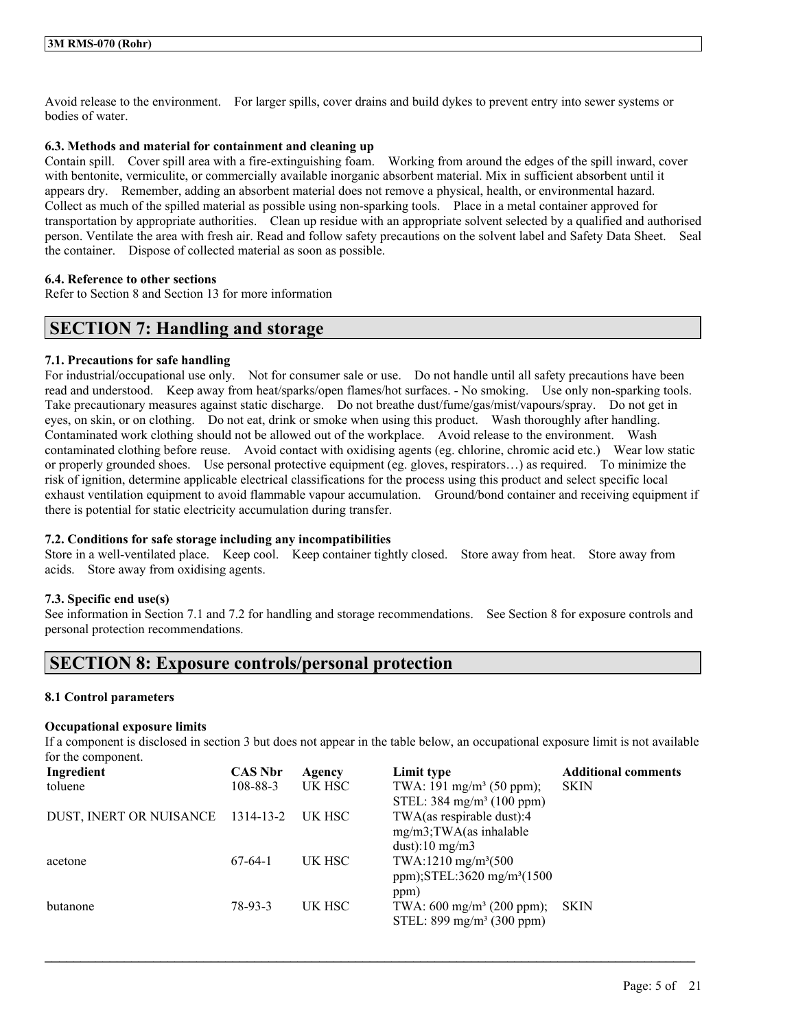Avoid release to the environment. For larger spills, cover drains and build dykes to prevent entry into sewer systems or bodies of water.

## **6.3. Methods and material for containment and cleaning up**

Contain spill. Cover spill area with a fire-extinguishing foam. Working from around the edges of the spill inward, cover with bentonite, vermiculite, or commercially available inorganic absorbent material. Mix in sufficient absorbent until it appears dry. Remember, adding an absorbent material does not remove a physical, health, or environmental hazard. Collect as much of the spilled material as possible using non-sparking tools. Place in a metal container approved for transportation by appropriate authorities. Clean up residue with an appropriate solvent selected by a qualified and authorised person. Ventilate the area with fresh air. Read and follow safety precautions on the solvent label and Safety Data Sheet. Seal the container. Dispose of collected material as soon as possible.

## **6.4. Reference to other sections**

Refer to Section 8 and Section 13 for more information

## **SECTION 7: Handling and storage**

## **7.1. Precautions for safe handling**

For industrial/occupational use only. Not for consumer sale or use. Do not handle until all safety precautions have been read and understood. Keep away from heat/sparks/open flames/hot surfaces. - No smoking. Use only non-sparking tools. Take precautionary measures against static discharge. Do not breathe dust/fume/gas/mist/vapours/spray. Do not get in eyes, on skin, or on clothing. Do not eat, drink or smoke when using this product. Wash thoroughly after handling. Contaminated work clothing should not be allowed out of the workplace. Avoid release to the environment. Wash contaminated clothing before reuse. Avoid contact with oxidising agents (eg. chlorine, chromic acid etc.) Wear low static or properly grounded shoes. Use personal protective equipment (eg. gloves, respirators…) as required. To minimize the risk of ignition, determine applicable electrical classifications for the process using this product and select specific local exhaust ventilation equipment to avoid flammable vapour accumulation. Ground/bond container and receiving equipment if there is potential for static electricity accumulation during transfer.

#### **7.2. Conditions for safe storage including any incompatibilities**

Store in a well-ventilated place. Keep cool. Keep container tightly closed. Store away from heat. Store away from acids. Store away from oxidising agents.

#### **7.3. Specific end use(s)**

See information in Section 7.1 and 7.2 for handling and storage recommendations. See Section 8 for exposure controls and personal protection recommendations.

## **SECTION 8: Exposure controls/personal protection**

#### **8.1 Control parameters**

#### **Occupational exposure limits**

If a component is disclosed in section 3 but does not appear in the table below, an occupational exposure limit is not available for the component.

| Ingredient                        | <b>CAS Nbr</b> | Agency | Limit type                              | <b>Additional comments</b> |
|-----------------------------------|----------------|--------|-----------------------------------------|----------------------------|
| toluene                           | $108 - 88 - 3$ | UK HSC | TWA: 191 mg/m <sup>3</sup> (50 ppm);    | <b>SKIN</b>                |
|                                   |                |        | STEL: $384 \text{ mg/m}^3$ (100 ppm)    |                            |
| DUST, INERT OR NUISANCE 1314-13-2 |                | UK HSC | TWA(as respirable dust):4               |                            |
|                                   |                |        | $mg/m3$ ; TWA(as inhalable              |                            |
|                                   |                |        | $dust$ :10 mg/m3                        |                            |
| acetone                           | $67-64-1$      | UK HSC | TWA:1210 mg/m <sup>3</sup> (500)        |                            |
|                                   |                |        | ppm);STEL:3620 mg/m <sup>3</sup> (1500) |                            |
|                                   |                |        | ppm)                                    |                            |
| butanone                          | 78-93-3        | UK HSC | TWA: $600 \text{ mg/m}^3$ (200 ppm);    | <b>SKIN</b>                |
|                                   |                |        | STEL: $899 \text{ mg/m}^3$ (300 ppm)    |                            |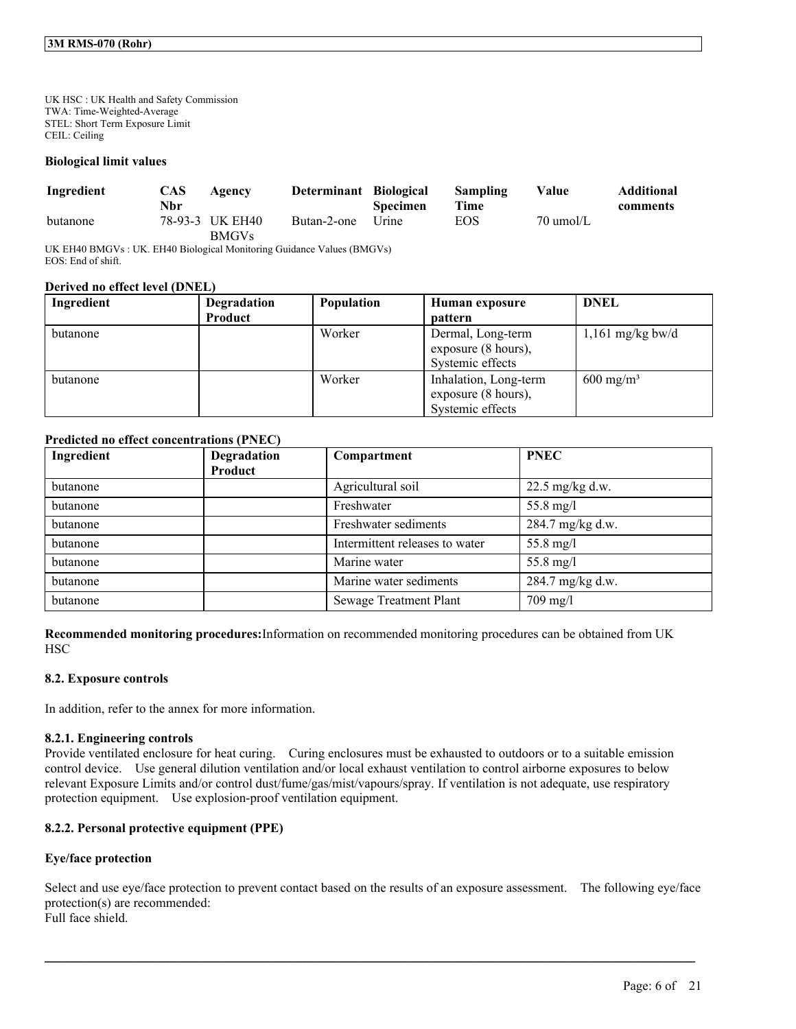UK HSC : UK Health and Safety Commission TWA: Time-Weighted-Average STEL: Short Term Exposure Limit CEIL: Ceiling

#### **Biological limit values**

| Ingredient | CAS<br>Nbr | Agency                          | Determinant Biological | <b>Specimen</b> | Sampling<br>Time | Value     | <b>Additional</b><br>comments |
|------------|------------|---------------------------------|------------------------|-----------------|------------------|-----------|-------------------------------|
| butanone   |            | 78-93-3 UK EH40<br><b>BMGVs</b> | Butan-2-one            | Urine           | EOS.             | 70 umol/L |                               |

UK EH40 BMGVs : UK. EH40 Biological Monitoring Guidance Values (BMGVs) EOS: End of shift.

#### **Derived no effect level (DNEL)**

| Ingredient | Degradation<br>Product | <b>Population</b> | Human exposure<br>pattern                                        | <b>DNEL</b>          |
|------------|------------------------|-------------------|------------------------------------------------------------------|----------------------|
| butanone   |                        | Worker            | Dermal, Long-term<br>exposure (8 hours),<br>Systemic effects     | $1,161$ mg/kg bw/d   |
| butanone   |                        | Worker            | Inhalation, Long-term<br>exposure (8 hours),<br>Systemic effects | $600 \text{ mg/m}^3$ |

## **Predicted no effect concentrations (PNEC)**

| Ingredient | Degradation<br>Product | Compartment                    | <b>PNEC</b>               |
|------------|------------------------|--------------------------------|---------------------------|
| butanone   |                        | Agricultural soil              | $22.5 \text{ mg/kg}$ d.w. |
| butanone   |                        | Freshwater                     | 55.8 mg/l                 |
| butanone   |                        | Freshwater sediments           | 284.7 mg/kg d.w.          |
| butanone   |                        | Intermittent releases to water | 55.8 mg/l                 |
| butanone   |                        | Marine water                   | 55.8 mg/l                 |
| butanone   |                        | Marine water sediments         | 284.7 mg/kg d.w.          |
| butanone   |                        | <b>Sewage Treatment Plant</b>  | $709$ mg/l                |

**Recommended monitoring procedures:**Information on recommended monitoring procedures can be obtained from UK **HSC** 

#### **8.2. Exposure controls**

In addition, refer to the annex for more information.

#### **8.2.1. Engineering controls**

Provide ventilated enclosure for heat curing. Curing enclosures must be exhausted to outdoors or to a suitable emission control device. Use general dilution ventilation and/or local exhaust ventilation to control airborne exposures to below relevant Exposure Limits and/or control dust/fume/gas/mist/vapours/spray. If ventilation is not adequate, use respiratory protection equipment. Use explosion-proof ventilation equipment.

## **8.2.2. Personal protective equipment (PPE)**

## **Eye/face protection**

Select and use eye/face protection to prevent contact based on the results of an exposure assessment. The following eye/face protection(s) are recommended: Full face shield.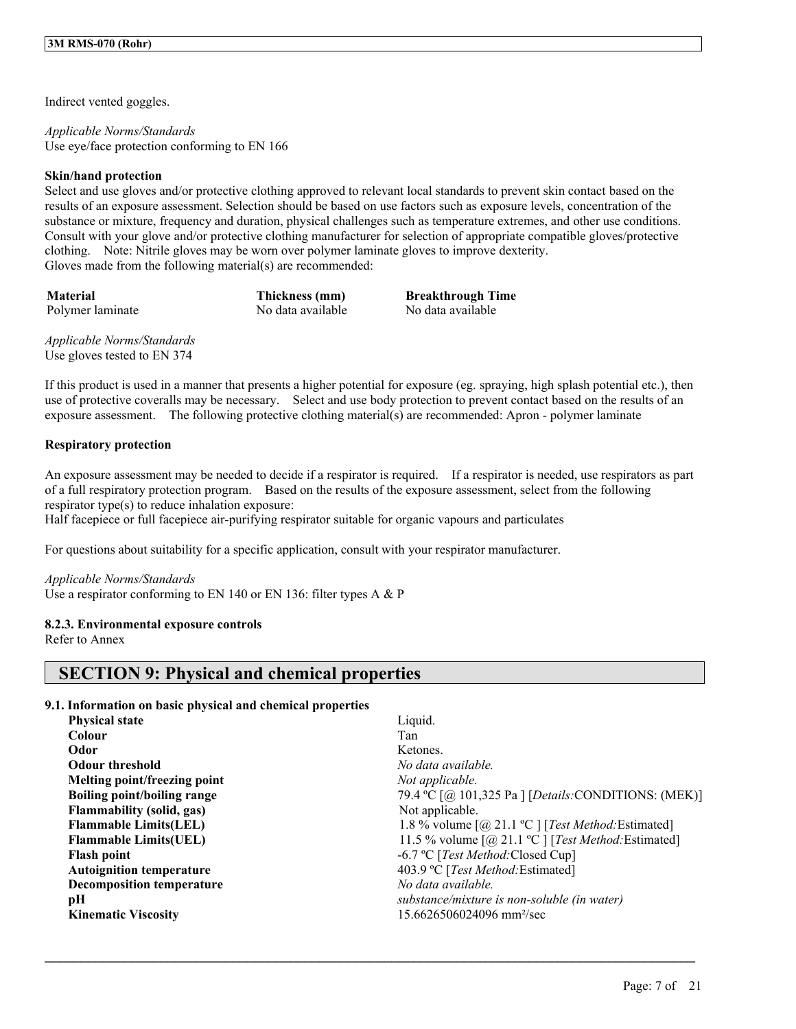Indirect vented goggles.

*Applicable Norms/Standards* Use eye/face protection conforming to EN 166

## **Skin/hand protection**

Select and use gloves and/or protective clothing approved to relevant local standards to prevent skin contact based on the results of an exposure assessment. Selection should be based on use factors such as exposure levels, concentration of the substance or mixture, frequency and duration, physical challenges such as temperature extremes, and other use conditions. Consult with your glove and/or protective clothing manufacturer for selection of appropriate compatible gloves/protective clothing. Note: Nitrile gloves may be worn over polymer laminate gloves to improve dexterity. Gloves made from the following material(s) are recommended:

Polymer laminate No data available No data available

**Material Thickness (mm) Breakthrough Time**

*Applicable Norms/Standards* Use gloves tested to EN 374

If this product is used in a manner that presents a higher potential for exposure (eg. spraying, high splash potential etc.), then use of protective coveralls may be necessary. Select and use body protection to prevent contact based on the results of an exposure assessment. The following protective clothing material(s) are recommended: Apron - polymer laminate

## **Respiratory protection**

An exposure assessment may be needed to decide if a respirator is required. If a respirator is needed, use respirators as part of a full respiratory protection program. Based on the results of the exposure assessment, select from the following respirator type(s) to reduce inhalation exposure:

Half facepiece or full facepiece air-purifying respirator suitable for organic vapours and particulates

For questions about suitability for a specific application, consult with your respirator manufacturer.

*Applicable Norms/Standards* Use a respirator conforming to EN 140 or EN 136: filter types A & P

## **8.2.3. Environmental exposure controls**

Refer to Annex

## **SECTION 9: Physical and chemical properties**

## **9.1. Information on basic physical and chemical properties**

| <b>Physical state</b>            | Liquid.                                                                                     |
|----------------------------------|---------------------------------------------------------------------------------------------|
| <b>Colour</b>                    | Tan                                                                                         |
| Odor                             | Ketones.                                                                                    |
| <b>Odour threshold</b>           | No data available.                                                                          |
| Melting point/freezing point     | Not applicable.                                                                             |
| Boiling point/boiling range      | 79.4 °C [@ 101,325 Pa ] [Details: CONDITIONS: (MEK)]                                        |
| Flammability (solid, gas)        | Not applicable.                                                                             |
| <b>Flammable Limits(LEL)</b>     | 1.8 % volume $\lceil (a) 21.1 \, \text{°C} \rceil$ [ <i>Test Method:</i> Estimated]         |
| <b>Flammable Limits(UEL)</b>     | 11.5 % volume $\lceil (\partial_2 21.1 \text{ °C}) \rceil$ [ <i>Test Method:</i> Estimated] |
| <b>Flash point</b>               | -6.7 °C [ <i>Test Method</i> :Closed Cup]                                                   |
| <b>Autoignition temperature</b>  | 403.9 °C [Test Method: Estimated]                                                           |
| <b>Decomposition temperature</b> | No data available.                                                                          |
| рH                               | substance/mixture is non-soluble (in water)                                                 |
| <b>Kinematic Viscosity</b>       | 15.6626506024096 mm <sup>2</sup> /sec                                                       |
|                                  |                                                                                             |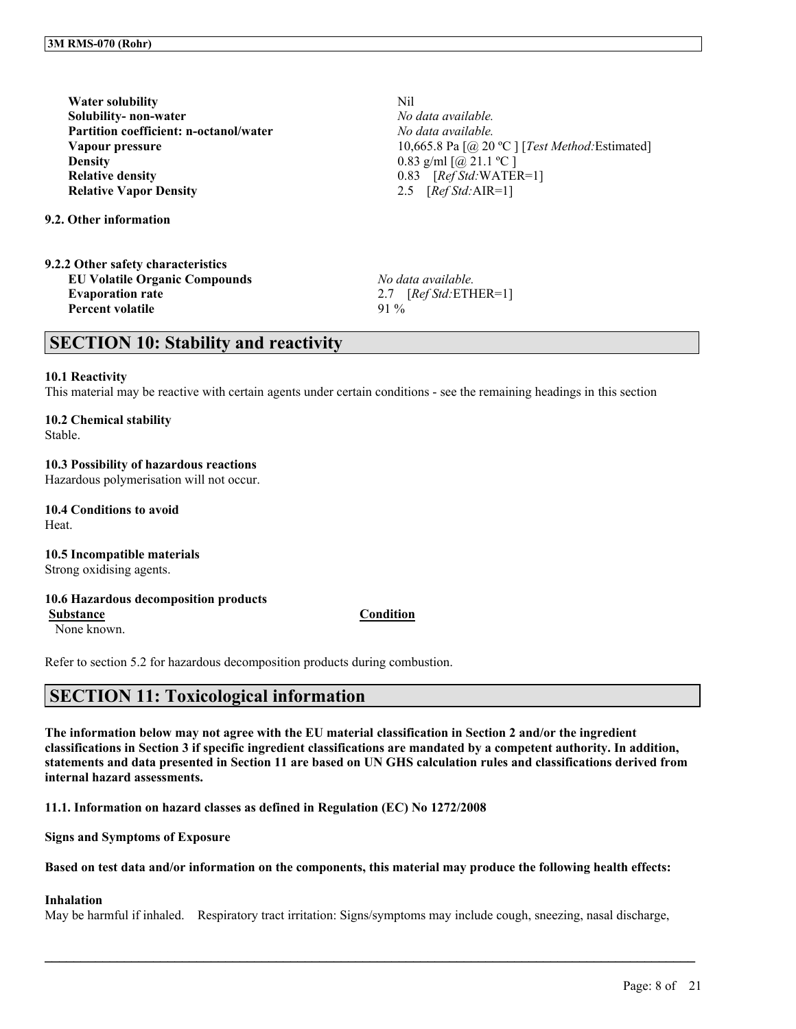**Water solubility** Nil **Solubility- non-water** *No data available.* **Partition coefficient: n-octanol/water** *No data available.* **Density** 0.83 g/ml  $\lceil (\partial_2 21.1 \, ^\circ \text{C}) \rceil$ **Relative density** 0.83 [*Ref Std:*WATER=1] **Relative Vapor Density** 2.5 [*Ref Std:*AIR=1]

**9.2. Other information**

| 9.2.2 Other safety characteristics   |        |
|--------------------------------------|--------|
| <b>EU Volatile Organic Compounds</b> | No de  |
| <b>Evaporation rate</b>              | 27     |
| Percent volatile                     | $91\%$ |

**Vapour pressure** 10,665.8 Pa [@ 20 °C ] [*Test Method:* Estimated]

**EU Volatile Organic Compounds** *No data available.* **Evaporation rate** 2.7 [*Ref Std:*ETHER=1]

## **SECTION 10: Stability and reactivity**

#### **10.1 Reactivity**

This material may be reactive with certain agents under certain conditions - see the remaining headings in this section

## **10.2 Chemical stability**

Stable.

## **10.3 Possibility of hazardous reactions**

Hazardous polymerisation will not occur.

**10.4 Conditions to avoid Heat** 

**10.5 Incompatible materials** Strong oxidising agents.

## **10.6 Hazardous decomposition products**

**Substance Condition**

None known.

Refer to section 5.2 for hazardous decomposition products during combustion.

## **SECTION 11: Toxicological information**

The information below may not agree with the EU material classification in Section 2 and/or the ingredient classifications in Section 3 if specific ingredient classifications are mandated by a competent authority. In addition, statements and data presented in Section 11 are based on UN GHS calculation rules and classifications derived from **internal hazard assessments.**

**11.1. Information on hazard classes as defined in Regulation (EC) No 1272/2008**

**Signs and Symptoms of Exposure**

#### Based on test data and/or information on the components, this material may produce the following health effects:

## **Inhalation**

May be harmful if inhaled. Respiratory tract irritation: Signs/symptoms may include cough, sneezing, nasal discharge,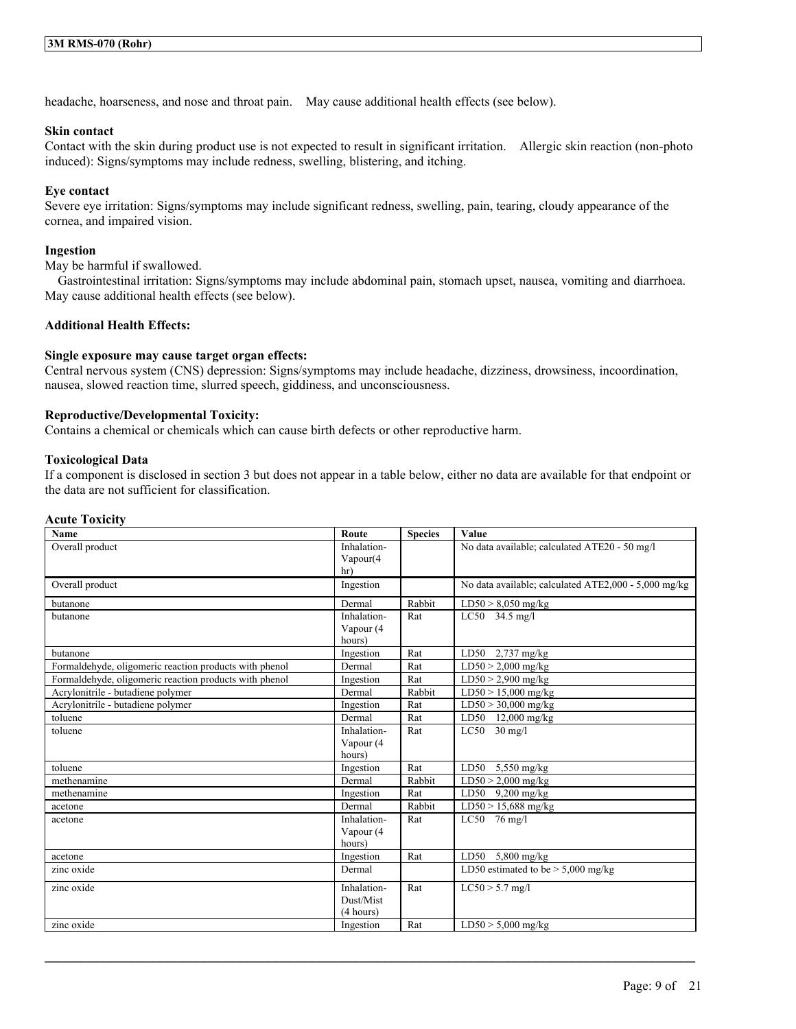headache, hoarseness, and nose and throat pain. May cause additional health effects (see below).

#### **Skin contact**

Contact with the skin during product use is not expected to result in significant irritation. Allergic skin reaction (non-photo induced): Signs/symptoms may include redness, swelling, blistering, and itching.

#### **Eye contact**

Severe eye irritation: Signs/symptoms may include significant redness, swelling, pain, tearing, cloudy appearance of the cornea, and impaired vision.

#### **Ingestion**

May be harmful if swallowed.

Gastrointestinal irritation: Signs/symptoms may include abdominal pain, stomach upset, nausea, vomiting and diarrhoea. May cause additional health effects (see below).

#### **Additional Health Effects:**

#### **Single exposure may cause target organ effects:**

Central nervous system (CNS) depression: Signs/symptoms may include headache, dizziness, drowsiness, incoordination, nausea, slowed reaction time, slurred speech, giddiness, and unconsciousness.

## **Reproductive/Developmental Toxicity:**

Contains a chemical or chemicals which can cause birth defects or other reproductive harm.

#### **Toxicological Data**

If a component is disclosed in section 3 but does not appear in a table below, either no data are available for that endpoint or the data are not sufficient for classification.

#### **Acute Toxicity**

| Name                                                   | Route       | <b>Species</b> | Value                                                |
|--------------------------------------------------------|-------------|----------------|------------------------------------------------------|
| Overall product                                        | Inhalation- |                | No data available; calculated ATE20 - 50 mg/l        |
|                                                        | Vapour(4)   |                |                                                      |
|                                                        | hr)         |                |                                                      |
| Overall product                                        | Ingestion   |                | No data available; calculated ATE2,000 - 5,000 mg/kg |
| butanone                                               | Dermal      | Rabbit         | LD50 > 8,050 mg/kg                                   |
| butanone                                               | Inhalation- | Rat            | LC50 34.5 mg/l                                       |
|                                                        | Vapour (4   |                |                                                      |
|                                                        | hours)      |                |                                                      |
| butanone                                               | Ingestion   | Rat            | LD50 $2,737$ mg/kg                                   |
| Formaldehyde, oligomeric reaction products with phenol | Dermal      | Rat            | $LD50 > 2,000$ mg/kg                                 |
| Formaldehyde, oligomeric reaction products with phenol | Ingestion   | Rat            | $LD50 > 2,900$ mg/kg                                 |
| Acrylonitrile - butadiene polymer                      | Dermal      | Rabbit         | $LD50 > 15,000$ mg/kg                                |
| Acrylonitrile - butadiene polymer                      | Ingestion   | Rat            | $LD50 > 30,000$ mg/kg                                |
| toluene                                                | Dermal      | Rat            | $LD50$ 12,000 mg/kg                                  |
| toluene                                                | Inhalation- | Rat            | $LC50$ 30 mg/l                                       |
|                                                        | Vapour (4   |                |                                                      |
|                                                        | hours)      |                |                                                      |
| toluene                                                | Ingestion   | Rat            | LD50<br>$5,550$ mg/kg                                |
| methenamine                                            | Dermal      | Rabbit         | $LD50 > 2,000$ mg/kg                                 |
| methenamine                                            | Ingestion   | Rat            | $LD50$ 9,200 mg/kg                                   |
| acetone                                                | Dermal      | Rabbit         | $LD50 > 15,688$ mg/kg                                |
| acetone                                                | Inhalation- | Rat            | LC50 $76$ mg/l                                       |
|                                                        | Vapour (4   |                |                                                      |
|                                                        | hours)      |                |                                                      |
| acetone                                                | Ingestion   | Rat            | LD50 $5,800$ mg/kg                                   |
| zinc oxide                                             | Dermal      |                | LD50 estimated to be $> 5,000$ mg/kg                 |
| zinc oxide                                             | Inhalation- | Rat            | $LC50 > 5.7$ mg/l                                    |
|                                                        | Dust/Mist   |                |                                                      |
|                                                        | (4 hours)   |                |                                                      |
| zinc oxide                                             | Ingestion   | Rat            | $LD50 > 5,000$ mg/kg                                 |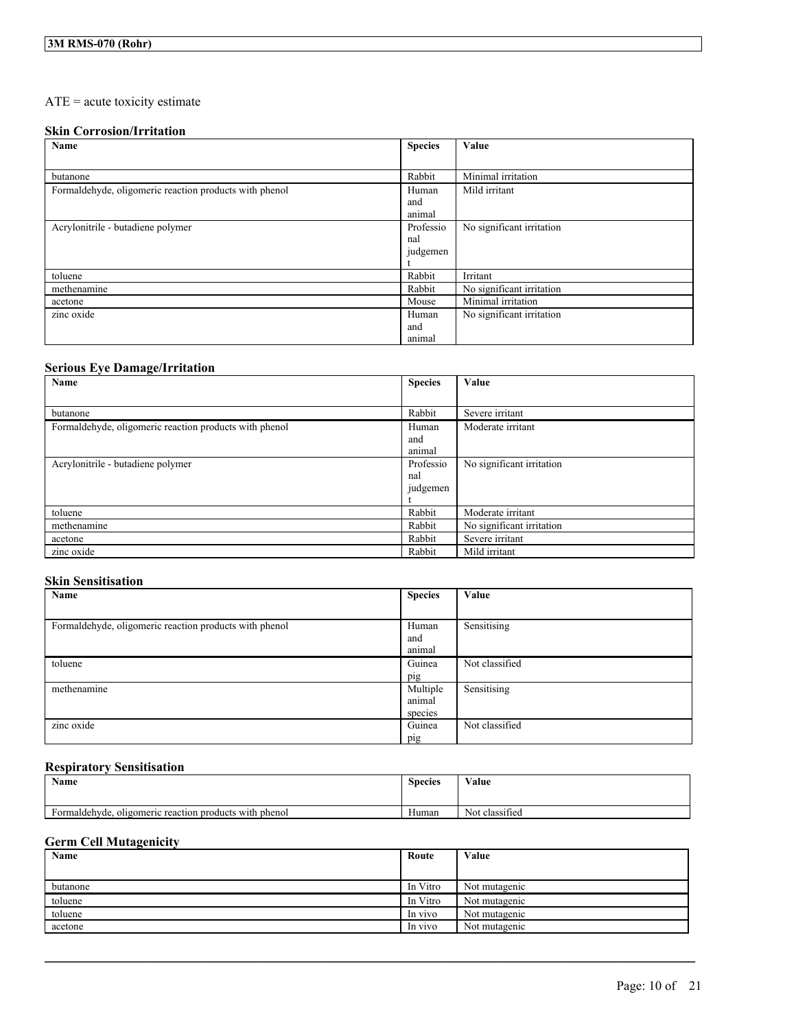## ATE = acute toxicity estimate

## **Skin Corrosion/Irritation**

| Name                                                   | <b>Species</b> | Value                     |
|--------------------------------------------------------|----------------|---------------------------|
|                                                        |                |                           |
| butanone                                               | Rabbit         | Minimal irritation        |
| Formaldehyde, oligomeric reaction products with phenol | Human          | Mild irritant             |
|                                                        | and            |                           |
|                                                        | animal         |                           |
| Acrylonitrile - butadiene polymer                      | Professio      | No significant irritation |
|                                                        | nal            |                           |
|                                                        | judgemen       |                           |
|                                                        |                |                           |
| toluene                                                | Rabbit         | Irritant                  |
| methenamine                                            | Rabbit         | No significant irritation |
| acetone                                                | Mouse          | Minimal irritation        |
| zinc oxide                                             | Human          | No significant irritation |
|                                                        | and            |                           |
|                                                        | animal         |                           |

## **Serious Eye Damage/Irritation**

| Name                                                   | <b>Species</b> | Value                     |
|--------------------------------------------------------|----------------|---------------------------|
|                                                        |                |                           |
| butanone                                               | Rabbit         | Severe irritant           |
| Formaldehyde, oligomeric reaction products with phenol | Human          | Moderate irritant         |
|                                                        | and            |                           |
|                                                        | animal         |                           |
| Acrylonitrile - butadiene polymer                      | Professio      | No significant irritation |
|                                                        | nal            |                           |
|                                                        | judgemen       |                           |
|                                                        |                |                           |
| toluene                                                | Rabbit         | Moderate irritant         |
| methenamine                                            | Rabbit         | No significant irritation |
| acetone                                                | Rabbit         | Severe irritant           |
| zinc oxide                                             | Rabbit         | Mild irritant             |

## **Skin Sensitisation**

| Name                                                   | <b>Species</b> | Value          |
|--------------------------------------------------------|----------------|----------------|
|                                                        |                |                |
| Formaldehyde, oligomeric reaction products with phenol | Human          | Sensitising    |
|                                                        | and            |                |
|                                                        | animal         |                |
| toluene                                                | Guinea         | Not classified |
|                                                        | pig            |                |
| methenamine                                            | Multiple       | Sensitising    |
|                                                        | animal         |                |
|                                                        | species        |                |
| zinc oxide                                             | Guinea         | Not classified |
|                                                        | pig            |                |

## **Respiratory Sensitisation**

| <b>Name</b>                                               | <b>Species</b> | Value                               |
|-----------------------------------------------------------|----------------|-------------------------------------|
|                                                           |                |                                     |
| oligomeric reaction products with phenol<br>Formaldehyde, | Human          | $\cdot$ $\sim$<br>classified<br>Not |

## **Germ Cell Mutagenicity**

| Name     | Route    | Value         |
|----------|----------|---------------|
|          |          |               |
| butanone | In Vitro | Not mutagenic |
| toluene  | In Vitro | Not mutagenic |
| toluene  | In vivo  | Not mutagenic |
| acetone  | In vivo  | Not mutagenic |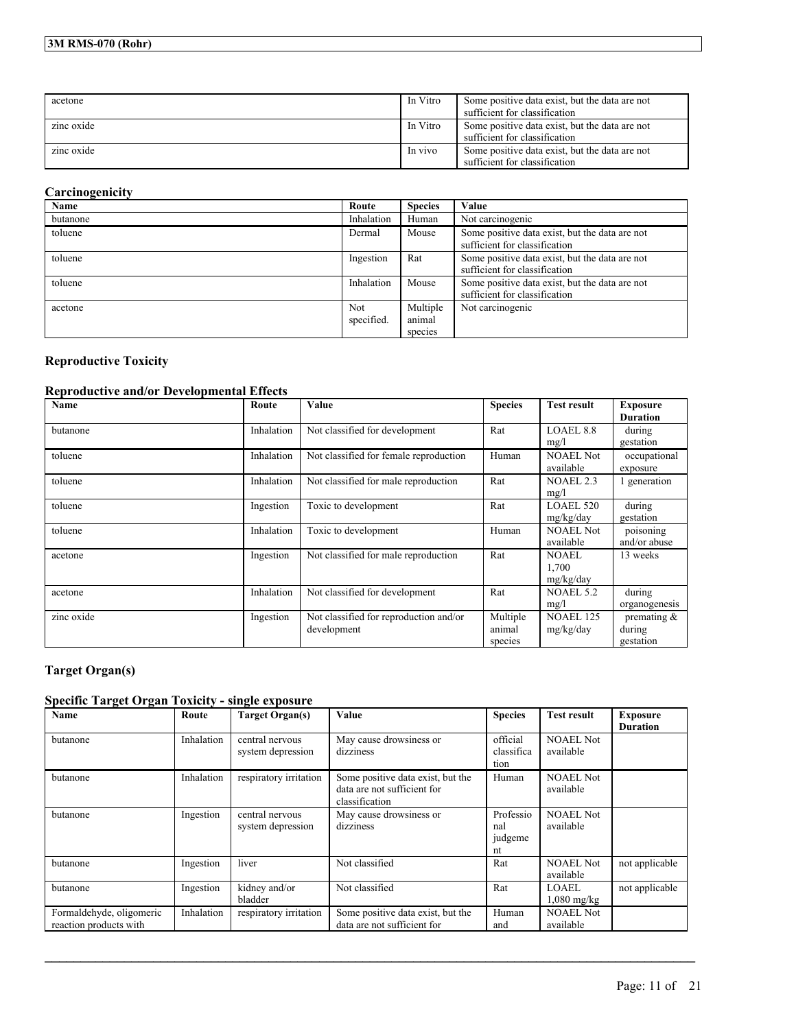## **3M RMS-070 (Rohr)**

| acetone    | In Vitro | Some positive data exist, but the data are not<br>sufficient for classification |
|------------|----------|---------------------------------------------------------------------------------|
| zinc oxide | In Vitro | Some positive data exist, but the data are not<br>sufficient for classification |
| zinc oxide | In vivo  | Some positive data exist, but the data are not<br>sufficient for classification |

## **Carcinogenicity**

| Name     | Route                    | <b>Species</b>                | Value                                                                           |
|----------|--------------------------|-------------------------------|---------------------------------------------------------------------------------|
| butanone | Inhalation               | Human                         | Not carcinogenic                                                                |
| toluene  | Dermal                   | Mouse                         | Some positive data exist, but the data are not<br>sufficient for classification |
| toluene  | Ingestion                | Rat                           | Some positive data exist, but the data are not<br>sufficient for classification |
| toluene  | Inhalation               | Mouse                         | Some positive data exist, but the data are not<br>sufficient for classification |
| acetone  | <b>Not</b><br>specified. | Multiple<br>animal<br>species | Not carcinogenic                                                                |

## **Reproductive Toxicity**

## **Reproductive and/or Developmental Effects**

| Name       | Route      | Value                                                 | <b>Species</b>                | <b>Test result</b>            | <b>Exposure</b><br><b>Duration</b>   |
|------------|------------|-------------------------------------------------------|-------------------------------|-------------------------------|--------------------------------------|
| butanone   | Inhalation | Not classified for development                        | Rat                           | LOAEL 8.8<br>mg/l             | during<br>gestation                  |
| toluene    | Inhalation | Not classified for female reproduction                | Human                         | <b>NOAEL Not</b><br>available | occupational<br>exposure             |
| toluene    | Inhalation | Not classified for male reproduction                  | Rat                           | <b>NOAEL 2.3</b><br>mg/l      | l generation                         |
| toluene    | Ingestion  | Toxic to development                                  | Rat                           | <b>LOAEL 520</b><br>mg/kg/day | during<br>gestation                  |
| toluene    | Inhalation | Toxic to development                                  | Human                         | <b>NOAEL Not</b><br>available | poisoning<br>and/or abuse            |
| acetone    | Ingestion  | Not classified for male reproduction                  | Rat                           | NOAEL<br>1,700<br>mg/kg/day   | 13 weeks                             |
| acetone    | Inhalation | Not classified for development                        | Rat                           | <b>NOAEL 5.2</b><br>mg/l      | during<br>organogenesis              |
| zinc oxide | Ingestion  | Not classified for reproduction and/or<br>development | Multiple<br>animal<br>species | <b>NOAEL 125</b><br>mg/kg/day | premating $&$<br>during<br>gestation |

## **Target Organ(s)**

## **Specific Target Organ Toxicity - single exposure**

| Name                                               | Route      | <b>Target Organ(s)</b>               | Value                                                                              | <b>Species</b>                    | <b>Test result</b>            | <b>Exposure</b><br><b>Duration</b> |
|----------------------------------------------------|------------|--------------------------------------|------------------------------------------------------------------------------------|-----------------------------------|-------------------------------|------------------------------------|
| butanone                                           | Inhalation | central nervous<br>system depression | May cause drowsiness or<br>dizziness                                               | official<br>classifica<br>tion    | <b>NOAEL Not</b><br>available |                                    |
| butanone                                           | Inhalation | respiratory irritation               | Some positive data exist, but the<br>data are not sufficient for<br>classification | Human                             | <b>NOAEL Not</b><br>available |                                    |
| butanone                                           | Ingestion  | central nervous<br>system depression | May cause drowsiness or<br>dizziness                                               | Professio<br>nal<br>judgeme<br>nt | <b>NOAEL Not</b><br>available |                                    |
| butanone                                           | Ingestion  | liver                                | Not classified                                                                     | Rat                               | <b>NOAEL Not</b><br>available | not applicable                     |
| butanone                                           | Ingestion  | kidney and/or<br>bladder             | Not classified                                                                     | Rat                               | LOAEL<br>$1,080$ mg/kg        | not applicable                     |
| Formaldehyde, oligomeric<br>reaction products with | Inhalation | respiratory irritation               | Some positive data exist, but the<br>data are not sufficient for                   | Human<br>and                      | <b>NOAEL Not</b><br>available |                                    |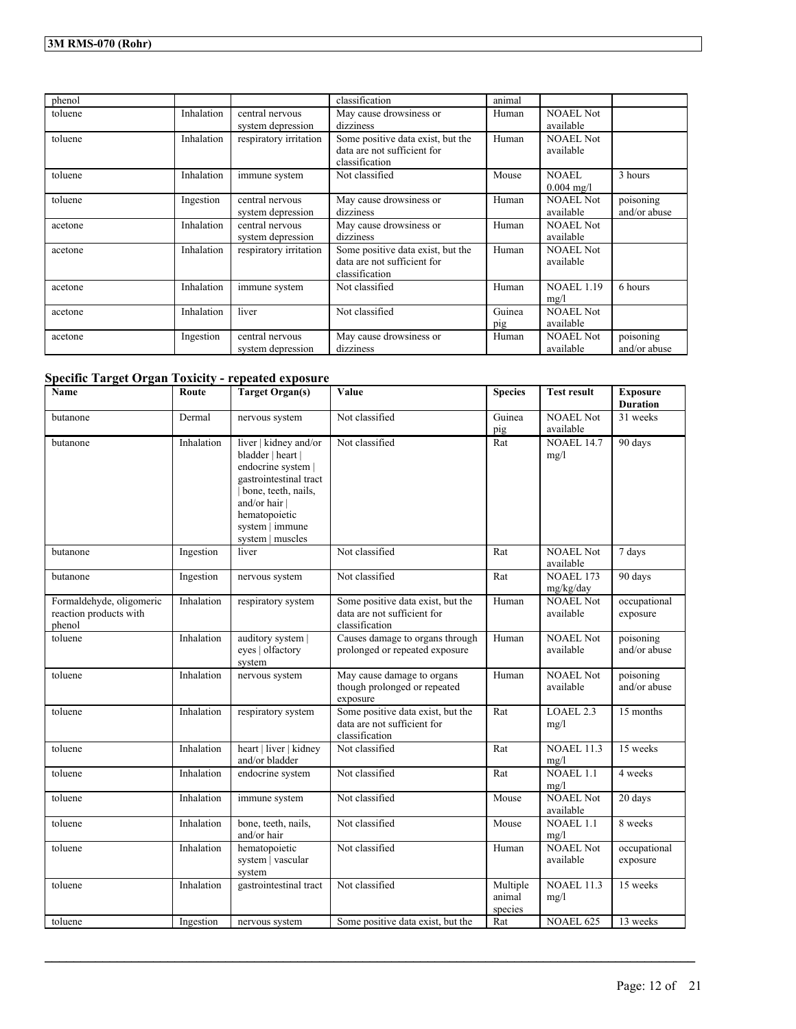| phenol  |            |                        | classification                    | animal |                      |              |
|---------|------------|------------------------|-----------------------------------|--------|----------------------|--------------|
| toluene | Inhalation | central nervous        | May cause drowsiness or           | Human  | <b>NOAEL Not</b>     |              |
|         |            | system depression      | dizziness                         |        | available            |              |
| toluene | Inhalation | respiratory irritation | Some positive data exist, but the | Human  | NOAEL Not            |              |
|         |            |                        | data are not sufficient for       |        | available            |              |
|         |            |                        | classification                    |        |                      |              |
| toluene | Inhalation | immune system          | Not classified                    | Mouse  | <b>NOAEL</b>         | 3 hours      |
|         |            |                        |                                   |        | $0.004 \text{ mg/l}$ |              |
| toluene | Ingestion  | central nervous        | May cause drowsiness or           | Human  | <b>NOAEL Not</b>     | poisoning    |
|         |            | system depression      | dizziness                         |        | available            | and/or abuse |
| acetone | Inhalation | central nervous        | May cause drowsiness or           | Human  | <b>NOAEL Not</b>     |              |
|         |            | system depression      | dizziness                         |        | available            |              |
| acetone | Inhalation | respiratory irritation | Some positive data exist, but the | Human  | <b>NOAEL</b> Not     |              |
|         |            |                        | data are not sufficient for       |        | available            |              |
|         |            |                        | classification                    |        |                      |              |
| acetone | Inhalation | immune system          | Not classified                    | Human  | <b>NOAEL 1.19</b>    | 6 hours      |
|         |            |                        |                                   |        | mg/l                 |              |
| acetone | Inhalation | liver                  | Not classified                    | Guinea | <b>NOAEL Not</b>     |              |
|         |            |                        |                                   | pig    | available            |              |
| acetone | Ingestion  | central nervous        | May cause drowsiness or           | Human  | <b>NOAEL Not</b>     | poisoning    |
|         |            | system depression      | dizziness                         |        | available            | and/or abuse |

## **Specific Target Organ Toxicity - repeated exposure**

| Name                                                         | Route      | <b>Target Organ(s)</b>                                                                                                                                                                     | Value                                                                              | <b>Species</b>                | <b>Test result</b>            | <b>Exposure</b><br><b>Duration</b> |
|--------------------------------------------------------------|------------|--------------------------------------------------------------------------------------------------------------------------------------------------------------------------------------------|------------------------------------------------------------------------------------|-------------------------------|-------------------------------|------------------------------------|
| butanone                                                     | Dermal     | nervous system                                                                                                                                                                             | Not classified                                                                     | Guinea<br>pig                 | <b>NOAEL</b> Not<br>available | 31 weeks                           |
| butanone                                                     | Inhalation | liver   kidney and/or<br>bladder   heart  <br>endocrine system  <br>gastrointestinal tract<br>bone, teeth, nails,<br>and/or hair  <br>hematopoietic<br>system   immune<br>system   muscles | Not classified                                                                     | Rat                           | <b>NOAEL 14.7</b><br>mg/l     | 90 days                            |
| butanone                                                     | Ingestion  | liver                                                                                                                                                                                      | Not classified                                                                     | Rat                           | <b>NOAEL Not</b><br>available | 7 days                             |
| butanone                                                     | Ingestion  | nervous system                                                                                                                                                                             | Not classified                                                                     | Rat                           | <b>NOAEL 173</b><br>mg/kg/day | 90 days                            |
| Formaldehyde, oligomeric<br>reaction products with<br>phenol | Inhalation | respiratory system                                                                                                                                                                         | Some positive data exist, but the<br>data are not sufficient for<br>classification | Human                         | <b>NOAEL Not</b><br>available | occupational<br>exposure           |
| toluene                                                      | Inhalation | auditory system  <br>eves   olfactory<br>system                                                                                                                                            | Causes damage to organs through<br>prolonged or repeated exposure                  | Human                         | <b>NOAEL Not</b><br>available | poisoning<br>and/or abuse          |
| toluene                                                      | Inhalation | nervous system                                                                                                                                                                             | May cause damage to organs<br>though prolonged or repeated<br>exposure             | Human                         | <b>NOAEL Not</b><br>available | poisoning<br>and/or abuse          |
| toluene                                                      | Inhalation | respiratory system                                                                                                                                                                         | Some positive data exist, but the<br>data are not sufficient for<br>classification | Rat                           | LOAEL 2.3<br>mg/l             | 15 months                          |
| toluene                                                      | Inhalation | heart   liver   kidney<br>and/or bladder                                                                                                                                                   | Not classified                                                                     | Rat                           | <b>NOAEL 11.3</b><br>mg/l     | 15 weeks                           |
| toluene                                                      | Inhalation | endocrine system                                                                                                                                                                           | Not classified                                                                     | Rat                           | <b>NOAEL 1.1</b><br>mg/l      | 4 weeks                            |
| toluene                                                      | Inhalation | immune system                                                                                                                                                                              | Not classified                                                                     | Mouse                         | <b>NOAEL Not</b><br>available | 20 days                            |
| toluene                                                      | Inhalation | bone, teeth, nails,<br>and/or hair                                                                                                                                                         | Not classified                                                                     | Mouse                         | <b>NOAEL 1.1</b><br>mg/l      | 8 weeks                            |
| toluene                                                      | Inhalation | hematopoietic<br>system   vascular<br>system                                                                                                                                               | Not classified                                                                     | Human                         | <b>NOAEL Not</b><br>available | occupational<br>exposure           |
| toluene                                                      | Inhalation | gastrointestinal tract                                                                                                                                                                     | Not classified                                                                     | Multiple<br>animal<br>species | <b>NOAEL 11.3</b><br>mg/l     | 15 weeks                           |
| toluene                                                      | Ingestion  | nervous system                                                                                                                                                                             | Some positive data exist, but the                                                  | Rat                           | <b>NOAEL 625</b>              | 13 weeks                           |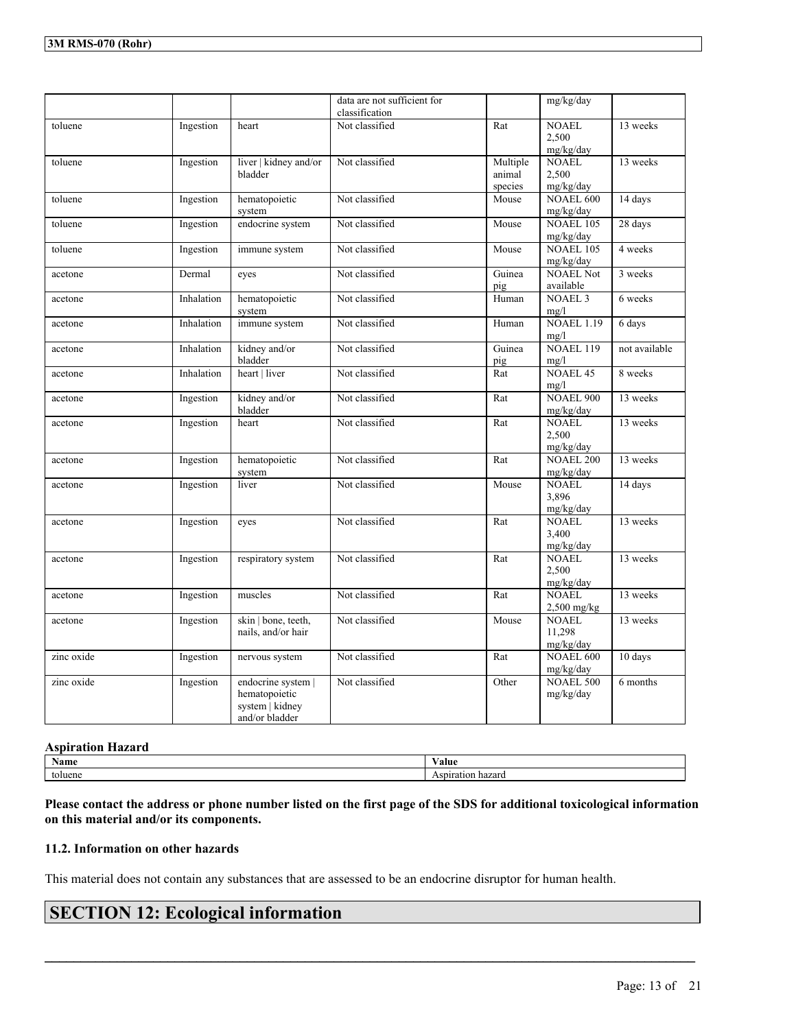|            |            |                                  | data are not sufficient for<br>classification |          | mg/kg/day                     |               |
|------------|------------|----------------------------------|-----------------------------------------------|----------|-------------------------------|---------------|
|            |            |                                  | Not classified                                | Rat      | <b>NOAEL</b>                  | 13 weeks      |
| toluene    | Ingestion  | heart                            |                                               |          | 2,500                         |               |
|            |            |                                  |                                               |          | mg/kg/day                     |               |
|            |            |                                  |                                               |          |                               |               |
| toluene    | Ingestion  | liver   kidney and/or<br>bladder | Not classified                                | Multiple | <b>NOAEL</b><br>2,500         | 13 weeks      |
|            |            |                                  |                                               | animal   |                               |               |
|            |            |                                  | Not classified                                | species  | mg/kg/day<br><b>NOAEL 600</b> |               |
| toluene    | Ingestion  | hematopoietic                    |                                               | Mouse    |                               | 14 days       |
|            |            | system                           |                                               |          | mg/kg/day<br><b>NOAEL 105</b> |               |
| toluene    | Ingestion  | endocrine system                 | Not classified                                | Mouse    |                               | 28 days       |
|            |            |                                  |                                               |          | mg/kg/day                     |               |
| toluene    | Ingestion  | immune system                    | Not classified                                | Mouse    | <b>NOAEL 105</b>              | 4 weeks       |
|            |            |                                  |                                               |          | mg/kg/day                     |               |
| acetone    | Dermal     | eyes                             | Not classified                                | Guinea   | <b>NOAEL Not</b>              | 3 weeks       |
|            |            |                                  |                                               | pig      | available                     |               |
| acetone    | Inhalation | hematopoietic                    | Not classified                                | Human    | <b>NOAEL 3</b>                | 6 weeks       |
|            |            | system                           |                                               |          | mg/l                          |               |
| acetone    | Inhalation | immune system                    | Not classified                                | Human    | <b>NOAEL 1.19</b>             | 6 days        |
|            |            |                                  |                                               |          | mg/l                          |               |
| acetone    | Inhalation | kidney and/or                    | Not classified                                | Guinea   | <b>NOAEL 119</b>              | not available |
|            |            | bladder                          |                                               | pig      | mg/l                          |               |
| acetone    | Inhalation | heart   liver                    | Not classified                                | Rat      | <b>NOAEL 45</b>               | 8 weeks       |
|            |            |                                  |                                               |          | mg/l                          |               |
| acetone    | Ingestion  | kidney and/or                    | Not classified                                | Rat      | <b>NOAEL 900</b>              | 13 weeks      |
|            |            | bladder                          |                                               |          | mg/kg/day                     |               |
| acetone    | Ingestion  | heart                            | Not classified                                | Rat      | <b>NOAEL</b>                  | 13 weeks      |
|            |            |                                  |                                               |          | 2.500                         |               |
|            |            |                                  |                                               |          | mg/kg/day                     |               |
| acetone    | Ingestion  | hematopoietic                    | Not classified                                | Rat      | <b>NOAEL 200</b>              | 13 weeks      |
|            |            | system                           |                                               |          | mg/kg/day<br><b>NOAEL</b>     | 14 days       |
| acetone    | Ingestion  | liver                            | Not classified                                | Mouse    | 3,896                         |               |
|            |            |                                  |                                               |          | mg/kg/day                     |               |
| acetone    | Ingestion  |                                  | Not classified                                | Rat      | <b>NOAEL</b>                  | 13 weeks      |
|            |            | eyes                             |                                               |          | 3,400                         |               |
|            |            |                                  |                                               |          | mg/kg/day                     |               |
| acetone    | Ingestion  | respiratory system               | Not classified                                | Rat      | <b>NOAEL</b>                  | 13 weeks      |
|            |            |                                  |                                               |          | 2,500                         |               |
|            |            |                                  |                                               |          | mg/kg/day                     |               |
| acetone    | Ingestion  | muscles                          | Not classified                                | Rat      | NOAEL                         | 13 weeks      |
|            |            |                                  |                                               |          | 2,500 mg/kg                   |               |
| acetone    | Ingestion  | skin   bone, teeth,              | Not classified                                | Mouse    | <b>NOAEL</b>                  | 13 weeks      |
|            |            | nails, and/or hair               |                                               |          | 11,298                        |               |
|            |            |                                  |                                               |          | mg/kg/day                     |               |
| zinc oxide | Ingestion  | nervous system                   | Not classified                                | Rat      | NOAEL 600                     | 10 days       |
|            |            |                                  |                                               |          | mg/kg/day                     |               |
| zinc oxide | Ingestion  | endocrine system                 | Not classified                                | Other    | <b>NOAEL 500</b>              | 6 months      |
|            |            | hematopoietic                    |                                               |          | mg/kg/day                     |               |
|            |            | system   kidney                  |                                               |          |                               |               |
|            |            | and/or bladder                   |                                               |          |                               |               |

#### **Aspiration Hazard**

| $\mathbf{H}$<br>Name | ⁄ alue                  |
|----------------------|-------------------------|
| nene<br>t∩l          | 11612.611 U<br>.<br>. . |

Please contact the address or phone number listed on the first page of the SDS for additional toxicological information **on this material and/or its components.**

 $\mathcal{L}_\mathcal{L} = \mathcal{L}_\mathcal{L} = \mathcal{L}_\mathcal{L} = \mathcal{L}_\mathcal{L} = \mathcal{L}_\mathcal{L} = \mathcal{L}_\mathcal{L} = \mathcal{L}_\mathcal{L} = \mathcal{L}_\mathcal{L} = \mathcal{L}_\mathcal{L} = \mathcal{L}_\mathcal{L} = \mathcal{L}_\mathcal{L} = \mathcal{L}_\mathcal{L} = \mathcal{L}_\mathcal{L} = \mathcal{L}_\mathcal{L} = \mathcal{L}_\mathcal{L} = \mathcal{L}_\mathcal{L} = \mathcal{L}_\mathcal{L}$ 

### **11.2. Information on other hazards**

This material does not contain any substances that are assessed to be an endocrine disruptor for human health.

## **SECTION 12: Ecological information**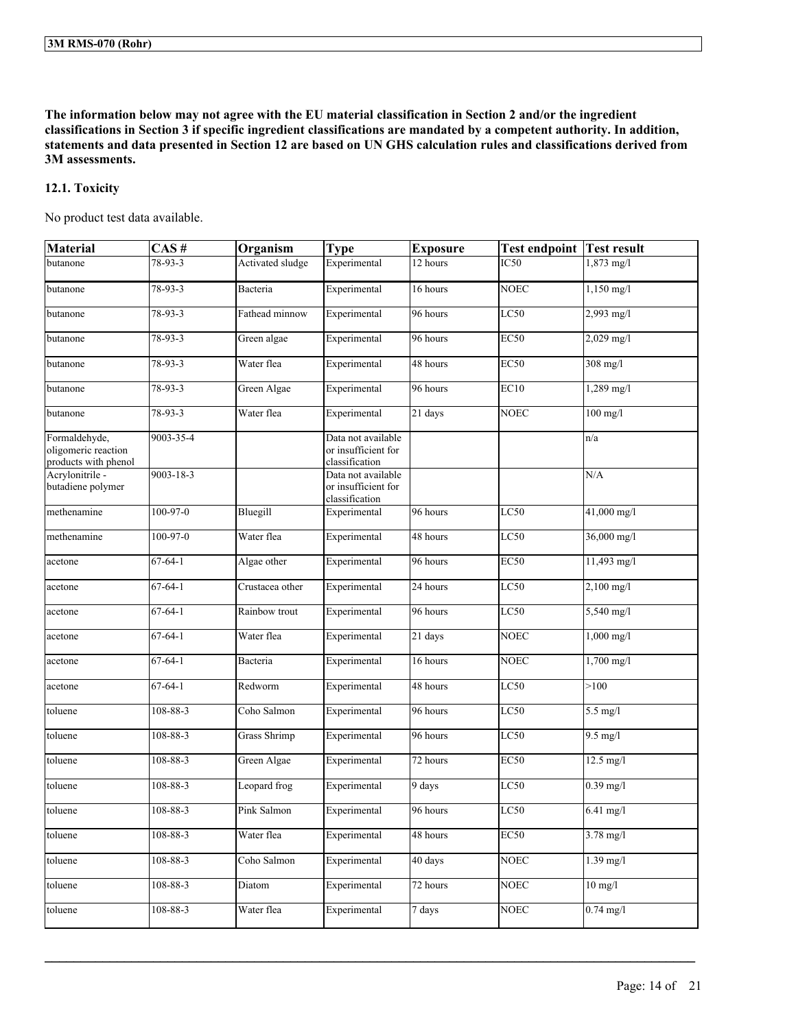The information below may not agree with the EU material classification in Section 2 and/or the ingredient classifications in Section 3 if specific ingredient classifications are mandated by a competent authority. In addition, statements and data presented in Section 12 are based on UN GHS calculation rules and classifications derived from **3M assessments.**

## **12.1. Toxicity**

No product test data available.

| <b>Material</b>                                              | $CAS \#$       | Organism            | <b>Type</b>                                                 | <b>Exposure</b>      | <b>Test endpoint</b> | <b>Test result</b>   |
|--------------------------------------------------------------|----------------|---------------------|-------------------------------------------------------------|----------------------|----------------------|----------------------|
| butanone                                                     | 78-93-3        | Activated sludge    | Experimental                                                | 12 hours             | IC50                 | 1,873 mg/l           |
| butanone                                                     | 78-93-3        | Bacteria            | Experimental                                                | 16 hours             | <b>NOEC</b>          | $1,150$ mg/l         |
| butanone                                                     | $78 - 93 - 3$  | Fathead minnow      | Experimental                                                | 96 hours             | LC50                 | 2,993 mg/l           |
| butanone                                                     | 78-93-3        | Green algae         | Experimental                                                | 96 hours             | <b>EC50</b>          | 2,029 mg/l           |
| butanone                                                     | $78 - 93 - 3$  | Water flea          | Experimental                                                | 48 hours             | EC50                 | $308$ mg/l           |
| butanone                                                     | 78-93-3        | Green Algae         | Experimental                                                | 96 hours             | EC10                 | $1,289$ mg/l         |
| butanone                                                     | 78-93-3        | Water flea          | Experimental                                                | $\overline{21}$ days | <b>NOEC</b>          | $100$ mg/l           |
| Formaldehyde,<br>oligomeric reaction<br>products with phenol | 9003-35-4      |                     | Data not available<br>or insufficient for<br>classification |                      |                      | n/a                  |
| Acrylonitrile -<br>butadiene polymer                         | 9003-18-3      |                     | Data not available<br>or insufficient for<br>classification |                      |                      | N/A                  |
| methenamine                                                  | 100-97-0       | Bluegill            | Experimental                                                | 96 hours             | LC50                 | 41,000 mg/l          |
| methenamine                                                  | $100 - 97 - 0$ | Water flea          | Experimental                                                | 48 hours             | LC50                 | 36,000 mg/l          |
| acetone                                                      | $67 - 64 - 1$  | Algae other         | Experimental                                                | 96 hours             | EC50                 | 11,493 mg/l          |
| acetone                                                      | $67 - 64 - 1$  | Crustacea other     | Experimental                                                | 24 hours             | LC50                 | $2,100$ mg/l         |
| acetone                                                      | $67 - 64 - 1$  | Rainbow trout       | Experimental                                                | 96 hours             | LC50                 | 5,540 mg/l           |
| acetone                                                      | $67 - 64 - 1$  | Water flea          | Experimental                                                | 21 days              | <b>NOEC</b>          | $1,000$ mg/l         |
| acetone                                                      | $67 - 64 - 1$  | Bacteria            | Experimental                                                | 16 hours             | <b>NOEC</b>          | $1,700 \text{ mg/l}$ |
| acetone                                                      | $67 - 64 - 1$  | Redworm             | Experimental                                                | 48 hours             | LC50                 | >100                 |
| toluene                                                      | 108-88-3       | Coho Salmon         | Experimental                                                | 96 hours             | LC50                 | $5.5$ mg/l           |
| toluene                                                      | $108 - 88 - 3$ | <b>Grass Shrimp</b> | Experimental                                                | 96 hours             | LC50                 | $9.5$ mg/l           |
| toluene                                                      | 108-88-3       | Green Algae         | Experimental                                                | 72 hours             | EC50                 | $12.5$ mg/l          |
| toluene                                                      | 108-88-3       | Leopard frog        | Experimental                                                | 9 days               | LC50                 | $0.39$ mg/l          |
| toluene                                                      | 108-88-3       | Pink Salmon         | Experimental                                                | 96 hours             | LC50                 | 6.41 mg/l            |
| toluene                                                      | 108-88-3       | Water flea          | Experimental                                                | 48 hours             | <b>EC50</b>          | 3.78 mg/l            |
| toluene                                                      | $108 - 88 - 3$ | Coho Salmon         | Experimental                                                | 40 days              | <b>NOEC</b>          | $1.39$ mg/l          |
| toluene                                                      | $108 - 88 - 3$ | Diatom              | Experimental                                                | 72 hours             | <b>NOEC</b>          | $10$ mg/l            |
| toluene                                                      | $108 - 88 - 3$ | Water flea          | Experimental                                                | 7 days               | <b>NOEC</b>          | $0.74 \text{ mg}/1$  |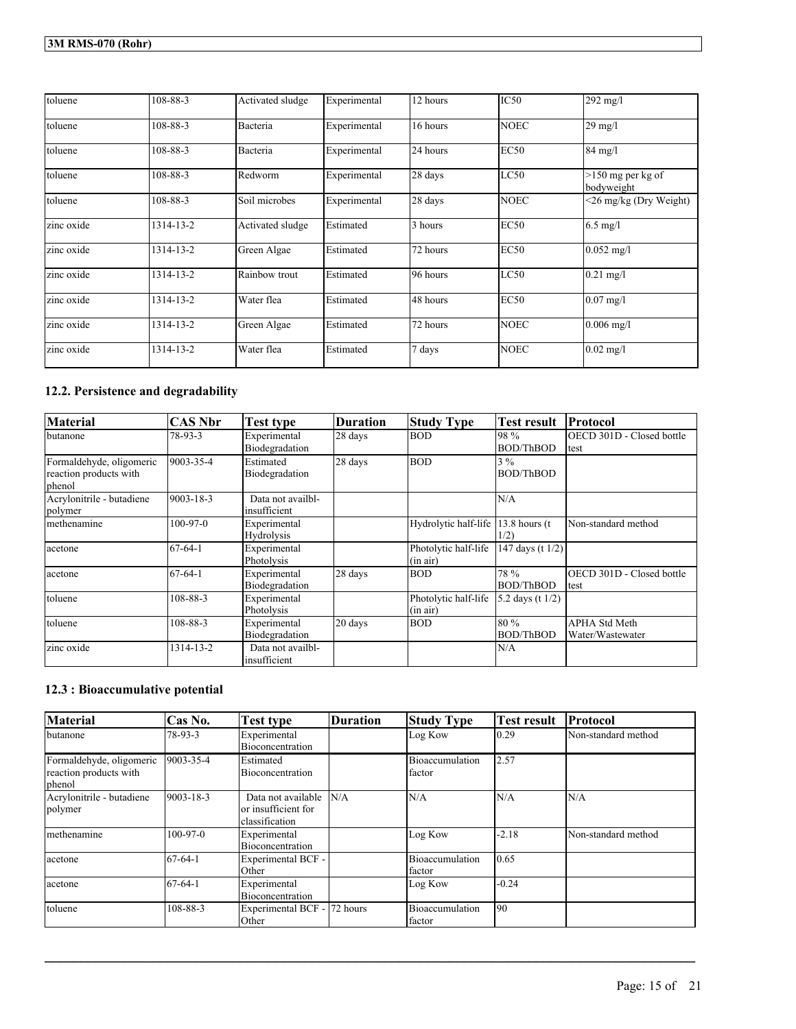| toluene    | 108-88-3  | Activated sludge | Experimental | 12 hours | IC50        | $292$ mg/l                        |
|------------|-----------|------------------|--------------|----------|-------------|-----------------------------------|
| toluene    | 108-88-3  | Bacteria         | Experimental | 16 hours | <b>NOEC</b> | $29$ mg/l                         |
| toluene    | 108-88-3  | Bacteria         | Experimental | 24 hours | <b>EC50</b> | 84 mg/l                           |
| toluene    | 108-88-3  | Redworm          | Experimental | 28 days  | LC50        | $>150$ mg per kg of<br>bodyweight |
| toluene    | 108-88-3  | Soil microbes    | Experimental | 28 days  | <b>NOEC</b> | <26 mg/kg (Dry Weight)            |
| zinc oxide | 1314-13-2 | Activated sludge | Estimated    | 3 hours  | <b>EC50</b> | $6.5 \text{ mg/l}$                |
| zinc oxide | 1314-13-2 | Green Algae      | Estimated    | 72 hours | <b>EC50</b> | $0.052$ mg/l                      |
| zinc oxide | 1314-13-2 | Rainbow trout    | Estimated    | 96 hours | LC50        | $0.21$ mg/l                       |
| zinc oxide | 1314-13-2 | Water flea       | Estimated    | 48 hours | <b>EC50</b> | $0.07 \text{ mg}$ /1              |
| zinc oxide | 1314-13-2 | Green Algae      | Estimated    | 72 hours | <b>NOEC</b> | $0.006$ mg/l                      |
| zinc oxide | 1314-13-2 | Water flea       | Estimated    | 7 days   | <b>NOEC</b> | $0.02$ mg/l                       |

## **12.2. Persistence and degradability**

| <b>Material</b>                                              | <b>CAS Nbr</b> | <b>Test type</b>                  | <b>Duration</b> | <b>Study Type</b>                | <b>Test result</b>       | Protocol                                    |
|--------------------------------------------------------------|----------------|-----------------------------------|-----------------|----------------------------------|--------------------------|---------------------------------------------|
| butanone                                                     | 78-93-3        | Experimental<br>Biodegradation    | 28 days         | <b>BOD</b>                       | 98 %<br>BOD/ThBOD        | <b>IOECD 301D - Closed bottle</b><br>  test |
| Formaldehyde, oligomeric<br>reaction products with<br>phenol | 9003-35-4      | Estimated<br>Biodegradation       | 28 days         | <b>BOD</b>                       | 3%<br><b>BOD/ThBOD</b>   |                                             |
| Acrylonitrile - butadiene<br>polymer                         | 9003-18-3      | Data not availbl-<br>insufficient |                 |                                  | N/A                      |                                             |
| methenamine                                                  | $100-97-0$     | Experimental<br>Hydrolysis        |                 | Hydrolytic half-life             | $13.8$ hours (t)<br>1/2) | Non-standard method                         |
| acetone                                                      | $67-64-1$      | Experimental<br>Photolysis        |                 | Photolytic half-life<br>(in air) | 147 days (t $1/2$ )      |                                             |
| acetone                                                      | $67 - 64 - 1$  | Experimental<br>Biodegradation    | 28 days         | <b>BOD</b>                       | 78 %<br><b>BOD/ThBOD</b> | OECD 301D - Closed bottle<br>ltest          |
| toluene                                                      | 108-88-3       | Experimental<br>Photolysis        |                 | Photolytic half-life<br>(in air) | 5.2 days (t $1/2$ )      |                                             |
| toluene                                                      | 108-88-3       | Experimental<br>Biodegradation    | 20 days         | <b>BOD</b>                       | 80 %<br><b>BOD/ThBOD</b> | <b>APHA Std Meth</b><br>Water/Wastewater    |
| zinc oxide                                                   | 1314-13-2      | Data not availbl-<br>insufficient |                 |                                  | N/A                      |                                             |

## **12.3 : Bioaccumulative potential**

| <b>Material</b>                                              | Cas No.         | Test type                                                   | <b>Duration</b> | <b>Study Type</b>                 | Test result | <b>Protocol</b>     |
|--------------------------------------------------------------|-----------------|-------------------------------------------------------------|-----------------|-----------------------------------|-------------|---------------------|
| butanone                                                     | 78-93-3         | Experimental<br>Bioconcentration                            |                 | Log Kow                           | 10.29       | Non-standard method |
| Formaldehyde, oligomeric<br>reaction products with<br>phenol | 9003-35-4       | Estimated<br>Bioconcentration                               |                 | Bioaccumulation<br>factor         | 2.57        |                     |
| Acrylonitrile - butadiene<br>polymer                         | $9003 - 18 - 3$ | Data not available<br>or insufficient for<br>classification | N/A             | N/A                               | N/A         | N/A                 |
| methenamine                                                  | $100-97-0$      | Experimental<br>Bioconcentration                            |                 | Log Kow                           | $-2.18$     | Non-standard method |
| acetone                                                      | $67-64-1$       | Experimental BCF -<br>Other                                 |                 | Bioaccumulation<br>factor         | 10.65       |                     |
| acetone                                                      | $67-64-1$       | Experimental<br>Bioconcentration                            |                 | Log Kow                           | $-0.24$     |                     |
| toluene                                                      | 108-88-3        | Experimental BCF - 72 hours<br>Other                        |                 | Bioaccumulation<br><b>Ifactor</b> | 190         |                     |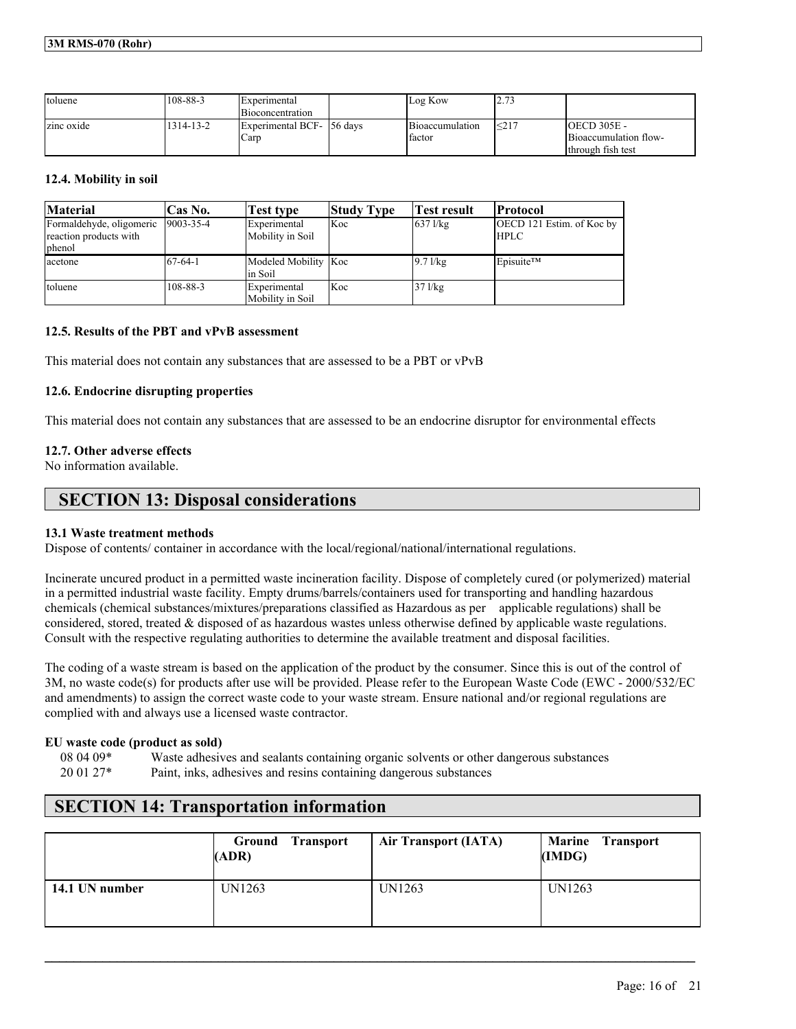| toluene    | 108-88-3  | <b>IExperimental</b><br><b>Bioconcentration</b> | Log Kow                   | ۔ انگل      |                                                                      |
|------------|-----------|-------------------------------------------------|---------------------------|-------------|----------------------------------------------------------------------|
| zinc oxide | 1314-13-2 | Experimental BCF-156 days<br>Carp               | Bioaccumulation<br>factor | $1 \leq 21$ | $IOECD 305E -$<br><b>Bioaccumulation flow-</b><br>Ithrough fish test |

## **12.4. Mobility in soil**

| <b>Material</b>          | Cas No.          | Test type                         | <b>Study Type</b> | Test result | <b>Protocol</b>           |
|--------------------------|------------------|-----------------------------------|-------------------|-------------|---------------------------|
| Formaldehyde, oligomeric | $19003 - 35 - 4$ | Experimental                      | Koc               | $637$ l/kg  | OECD 121 Estim. of Koc by |
| reaction products with   |                  | Mobility in Soil                  |                   |             | <b>HPLC</b>               |
| phenol                   |                  |                                   |                   |             |                           |
| acetone                  | $67-64-1$        | Modeled Mobility Koc<br>lin Soil  |                   | $9.71$ /kg  | Episuite <sup>TM</sup>    |
| toluene                  | 108-88-3         | Experimental<br>lMobility in Soil | Koc               | $37$ l/kg   |                           |

## **12.5. Results of the PBT and vPvB assessment**

This material does not contain any substances that are assessed to be a PBT or vPvB

## **12.6. Endocrine disrupting properties**

This material does not contain any substances that are assessed to be an endocrine disruptor for environmental effects

## **12.7. Other adverse effects**

No information available.

## **SECTION 13: Disposal considerations**

#### **13.1 Waste treatment methods**

Dispose of contents/ container in accordance with the local/regional/national/international regulations.

Incinerate uncured product in a permitted waste incineration facility. Dispose of completely cured (or polymerized) material in a permitted industrial waste facility. Empty drums/barrels/containers used for transporting and handling hazardous chemicals (chemical substances/mixtures/preparations classified as Hazardous as per applicable regulations) shall be considered, stored, treated & disposed of as hazardous wastes unless otherwise defined by applicable waste regulations. Consult with the respective regulating authorities to determine the available treatment and disposal facilities.

The coding of a waste stream is based on the application of the product by the consumer. Since this is out of the control of 3M, no waste code(s) for products after use will be provided. Please refer to the European Waste Code (EWC - 2000/532/EC and amendments) to assign the correct waste code to your waste stream. Ensure national and/or regional regulations are complied with and always use a licensed waste contractor.

#### **EU waste code (product as sold)**

08 04 09\* Waste adhesives and sealants containing organic solvents or other dangerous substances 20 01 27\* Paint, inks, adhesives and resins containing dangerous substances

## **SECTION 14: Transportation information**

|                | Ground<br><b>Transport</b><br>(ADR) | Air Transport (IATA) | <b>Marine Transport</b><br>(IMDG) |
|----------------|-------------------------------------|----------------------|-----------------------------------|
| 14.1 UN number | UN1263                              | UN1263               | UN1263                            |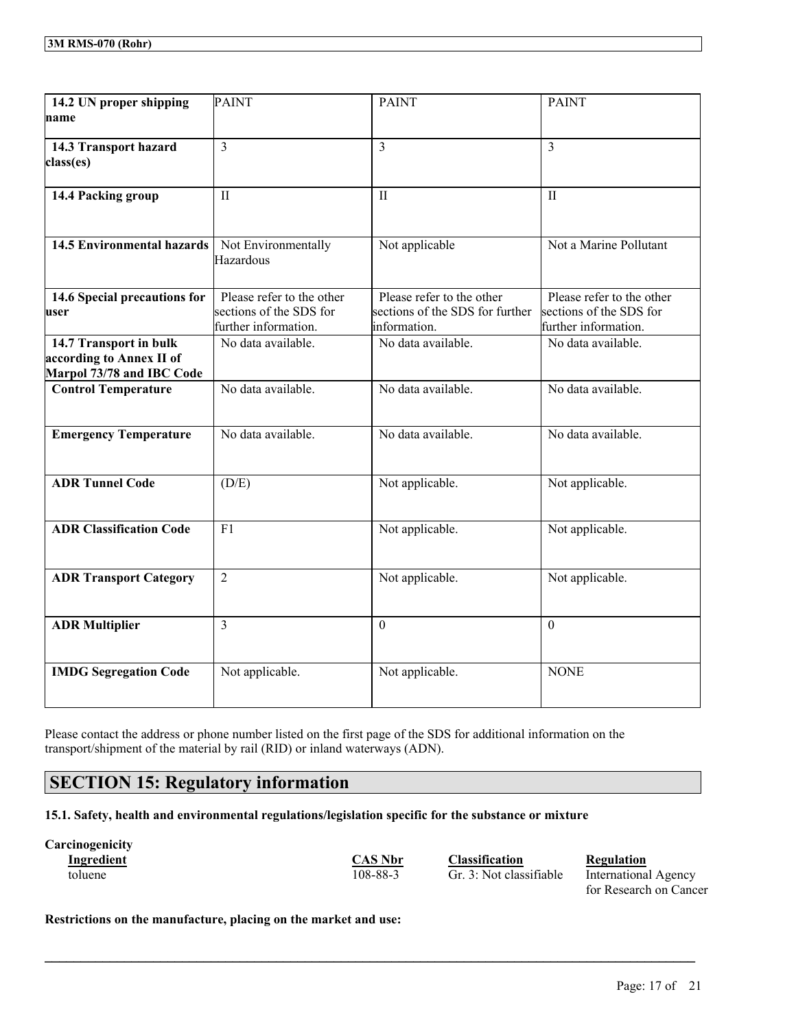| 14.2 UN proper shipping<br>name                                                 | <b>PAINT</b>                                                                 | <b>PAINT</b>                                                                 | <b>PAINT</b>                                                                 |
|---------------------------------------------------------------------------------|------------------------------------------------------------------------------|------------------------------------------------------------------------------|------------------------------------------------------------------------------|
| 14.3 Transport hazard<br>class(es)                                              | 3                                                                            | $\overline{3}$                                                               | $\overline{3}$                                                               |
| 14.4 Packing group                                                              | $\mathbf{I}$                                                                 | $\mathbf{I}$                                                                 | $\mathbf{I}$                                                                 |
| <b>14.5 Environmental hazards</b>                                               | Not Environmentally<br>Hazardous                                             | Not applicable                                                               | Not a Marine Pollutant                                                       |
| 14.6 Special precautions for<br>user                                            | Please refer to the other<br>sections of the SDS for<br>further information. | Please refer to the other<br>sections of the SDS for further<br>information. | Please refer to the other<br>sections of the SDS for<br>further information. |
| 14.7 Transport in bulk<br>according to Annex II of<br>Marpol 73/78 and IBC Code | No data available.                                                           | No data available.                                                           | No data available.                                                           |
| <b>Control Temperature</b>                                                      | No data available.                                                           | No data available.                                                           | No data available.                                                           |
| <b>Emergency Temperature</b>                                                    | No data available.                                                           | No data available.                                                           | No data available.                                                           |
| <b>ADR Tunnel Code</b>                                                          | (D/E)                                                                        | Not applicable.                                                              | Not applicable.                                                              |
| <b>ADR Classification Code</b>                                                  | F1                                                                           | Not applicable.                                                              | Not applicable.                                                              |
| <b>ADR Transport Category</b>                                                   | $\overline{2}$                                                               | Not applicable.                                                              | Not applicable.                                                              |
| <b>ADR Multiplier</b>                                                           | 3                                                                            | $\theta$                                                                     | $\Omega$                                                                     |
| <b>IMDG Segregation Code</b>                                                    | Not applicable.                                                              | Not applicable.                                                              | <b>NONE</b>                                                                  |

Please contact the address or phone number listed on the first page of the SDS for additional information on the transport/shipment of the material by rail (RID) or inland waterways (ADN).

## **SECTION 15: Regulatory information**

**15.1. Safety, health and environmental regulations/legislation specific for the substance or mixture**

# **Carcinogenicity**

 $\mathcal{L}_\mathcal{L} = \mathcal{L}_\mathcal{L} = \mathcal{L}_\mathcal{L} = \mathcal{L}_\mathcal{L} = \mathcal{L}_\mathcal{L} = \mathcal{L}_\mathcal{L} = \mathcal{L}_\mathcal{L} = \mathcal{L}_\mathcal{L} = \mathcal{L}_\mathcal{L} = \mathcal{L}_\mathcal{L} = \mathcal{L}_\mathcal{L} = \mathcal{L}_\mathcal{L} = \mathcal{L}_\mathcal{L} = \mathcal{L}_\mathcal{L} = \mathcal{L}_\mathcal{L} = \mathcal{L}_\mathcal{L} = \mathcal{L}_\mathcal{L}$ 

**Industribute Classification Regulation** 

toluene 108-88-3 Gr. 3: Not classifiable International Agency for Research on Cancer

**Restrictions on the manufacture, placing on the market and use:**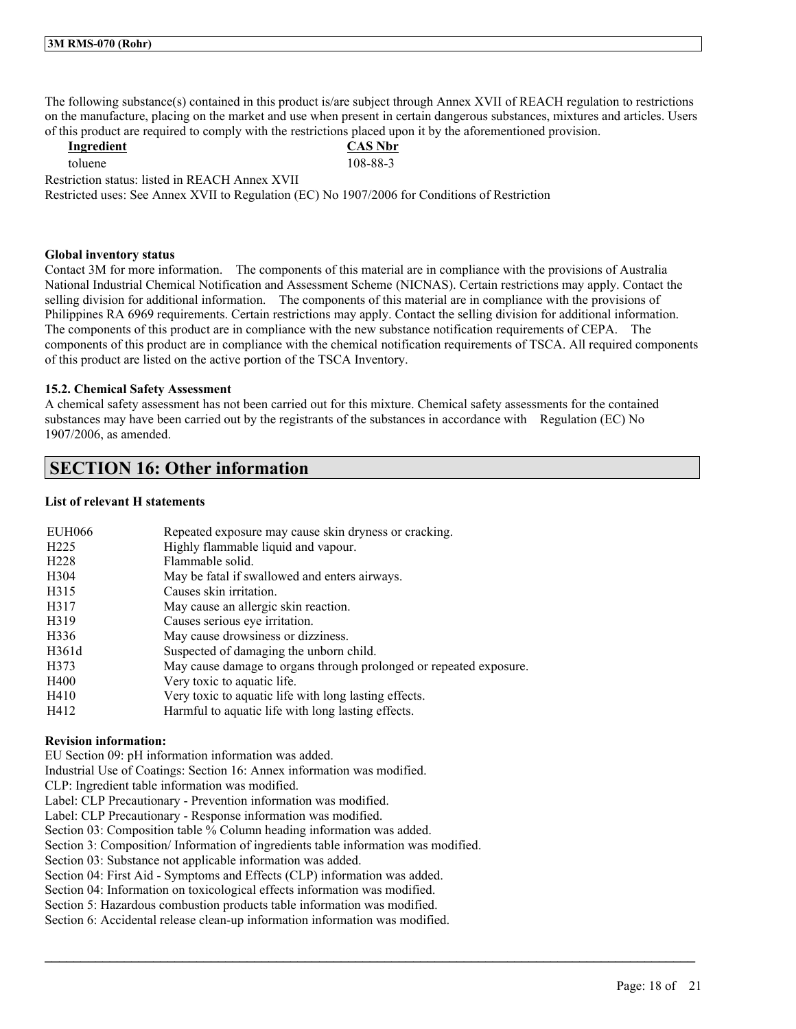The following substance(s) contained in this product is/are subject through Annex XVII of REACH regulation to restrictions on the manufacture, placing on the market and use when present in certain dangerous substances, mixtures and articles. Users of this product are required to comply with the restrictions placed upon it by the aforementioned provision.

| Ingredient                                                                                    | <b>CAS Nbr</b> |
|-----------------------------------------------------------------------------------------------|----------------|
| toluene.                                                                                      | 108-88-3       |
| Restriction status: listed in REACH Annex XVII                                                |                |
| Restricted uses: See Annex XVII to Regulation (EC) No 1907/2006 for Conditions of Restriction |                |

#### **Global inventory status**

Contact 3M for more information. The components of this material are in compliance with the provisions of Australia National Industrial Chemical Notification and Assessment Scheme (NICNAS). Certain restrictions may apply. Contact the selling division for additional information. The components of this material are in compliance with the provisions of Philippines RA 6969 requirements. Certain restrictions may apply. Contact the selling division for additional information. The components of this product are in compliance with the new substance notification requirements of CEPA. The components of this product are in compliance with the chemical notification requirements of TSCA. All required components of this product are listed on the active portion of the TSCA Inventory.

#### **15.2. Chemical Safety Assessment**

A chemical safety assessment has not been carried out for this mixture. Chemical safety assessments for the contained substances may have been carried out by the registrants of the substances in accordance with Regulation (EC) No 1907/2006, as amended.

 $\mathcal{L}_\mathcal{L} = \mathcal{L}_\mathcal{L} = \mathcal{L}_\mathcal{L} = \mathcal{L}_\mathcal{L} = \mathcal{L}_\mathcal{L} = \mathcal{L}_\mathcal{L} = \mathcal{L}_\mathcal{L} = \mathcal{L}_\mathcal{L} = \mathcal{L}_\mathcal{L} = \mathcal{L}_\mathcal{L} = \mathcal{L}_\mathcal{L} = \mathcal{L}_\mathcal{L} = \mathcal{L}_\mathcal{L} = \mathcal{L}_\mathcal{L} = \mathcal{L}_\mathcal{L} = \mathcal{L}_\mathcal{L} = \mathcal{L}_\mathcal{L}$ 

## **SECTION 16: Other information**

## **List of relevant H statements**

| <b>EUH066</b>    | Repeated exposure may cause skin dryness or cracking.              |
|------------------|--------------------------------------------------------------------|
| H <sub>225</sub> | Highly flammable liquid and vapour.                                |
| H <sub>228</sub> | Flammable solid.                                                   |
| H304             | May be fatal if swallowed and enters airways.                      |
| H315             | Causes skin irritation.                                            |
| H317             | May cause an allergic skin reaction.                               |
| H319             | Causes serious eye irritation.                                     |
| H336             | May cause drowsiness or dizziness.                                 |
| H361d            | Suspected of damaging the unborn child.                            |
| H373             | May cause damage to organs through prolonged or repeated exposure. |
| H400             | Very toxic to aquatic life.                                        |
| H410             | Very toxic to aquatic life with long lasting effects.              |
| H412             | Harmful to aquatic life with long lasting effects.                 |

#### **Revision information:**

EU Section 09: pH information information was added.

Industrial Use of Coatings: Section 16: Annex information was modified.

CLP: Ingredient table information was modified.

Label: CLP Precautionary - Prevention information was modified.

Label: CLP Precautionary - Response information was modified.

Section 03: Composition table % Column heading information was added.

Section 3: Composition/ Information of ingredients table information was modified.

Section 03: Substance not applicable information was added.

Section 04: First Aid - Symptoms and Effects (CLP) information was added.

Section 04: Information on toxicological effects information was modified.

Section 5: Hazardous combustion products table information was modified.

Section 6: Accidental release clean-up information information was modified.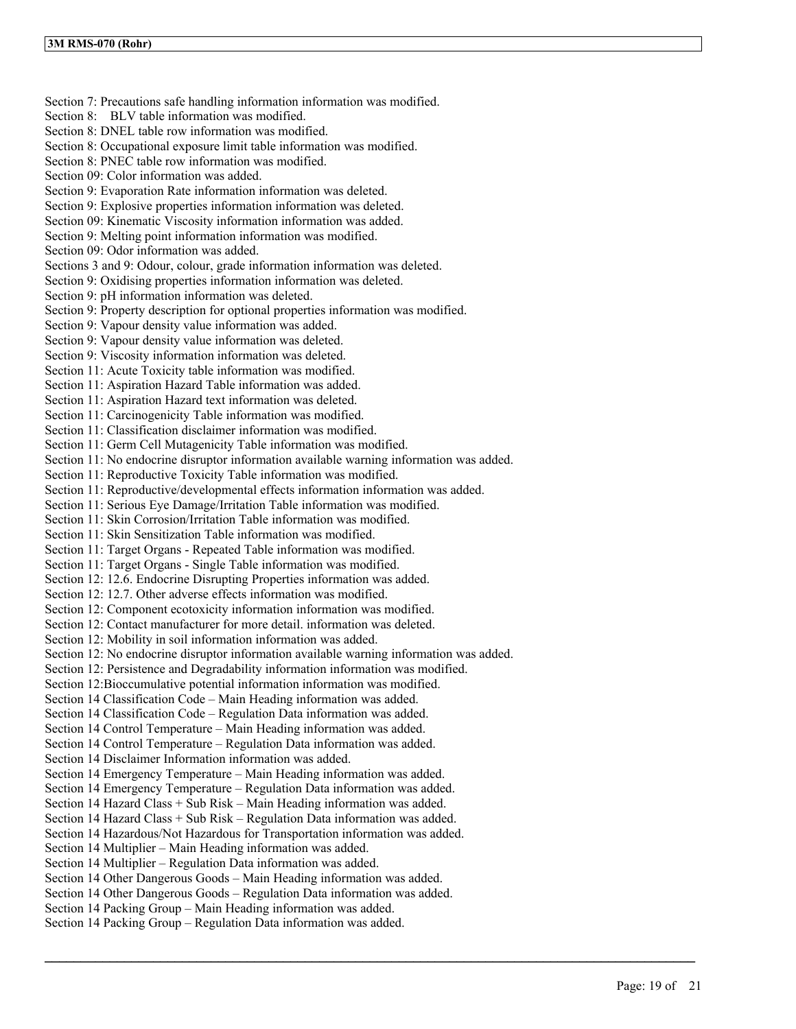Section 7: Precautions safe handling information information was modified. Section 8: BLV table information was modified. Section 8: DNEL table row information was modified. Section 8: Occupational exposure limit table information was modified. Section 8: PNEC table row information was modified. Section 09: Color information was added. Section 9: Evaporation Rate information information was deleted. Section 9: Explosive properties information information was deleted. Section 09: Kinematic Viscosity information information was added. Section 9: Melting point information information was modified. Section 09: Odor information was added. Sections 3 and 9: Odour, colour, grade information information was deleted. Section 9: Oxidising properties information information was deleted. Section 9: pH information information was deleted. Section 9: Property description for optional properties information was modified. Section 9: Vapour density value information was added. Section 9: Vapour density value information was deleted. Section 9: Viscosity information information was deleted. Section 11: Acute Toxicity table information was modified. Section 11: Aspiration Hazard Table information was added. Section 11: Aspiration Hazard text information was deleted. Section 11: Carcinogenicity Table information was modified. Section 11: Classification disclaimer information was modified. Section 11: Germ Cell Mutagenicity Table information was modified. Section 11: No endocrine disruptor information available warning information was added. Section 11: Reproductive Toxicity Table information was modified. Section 11: Reproductive/developmental effects information information was added. Section 11: Serious Eye Damage/Irritation Table information was modified. Section 11: Skin Corrosion/Irritation Table information was modified. Section 11: Skin Sensitization Table information was modified. Section 11: Target Organs - Repeated Table information was modified. Section 11: Target Organs - Single Table information was modified. Section 12: 12.6. Endocrine Disrupting Properties information was added. Section 12: 12.7. Other adverse effects information was modified. Section 12: Component ecotoxicity information information was modified. Section 12: Contact manufacturer for more detail. information was deleted. Section 12: Mobility in soil information information was added. Section 12: No endocrine disruptor information available warning information was added. Section 12: Persistence and Degradability information information was modified. Section 12:Bioccumulative potential information information was modified. Section 14 Classification Code – Main Heading information was added. Section 14 Classification Code – Regulation Data information was added. Section 14 Control Temperature – Main Heading information was added. Section 14 Control Temperature – Regulation Data information was added. Section 14 Disclaimer Information information was added. Section 14 Emergency Temperature – Main Heading information was added. Section 14 Emergency Temperature – Regulation Data information was added. Section 14 Hazard Class + Sub Risk – Main Heading information was added. Section 14 Hazard Class + Sub Risk – Regulation Data information was added. Section 14 Hazardous/Not Hazardous for Transportation information was added. Section 14 Multiplier – Main Heading information was added. Section 14 Multiplier – Regulation Data information was added. Section 14 Other Dangerous Goods – Main Heading information was added. Section 14 Other Dangerous Goods – Regulation Data information was added. Section 14 Packing Group – Main Heading information was added. Section 14 Packing Group – Regulation Data information was added.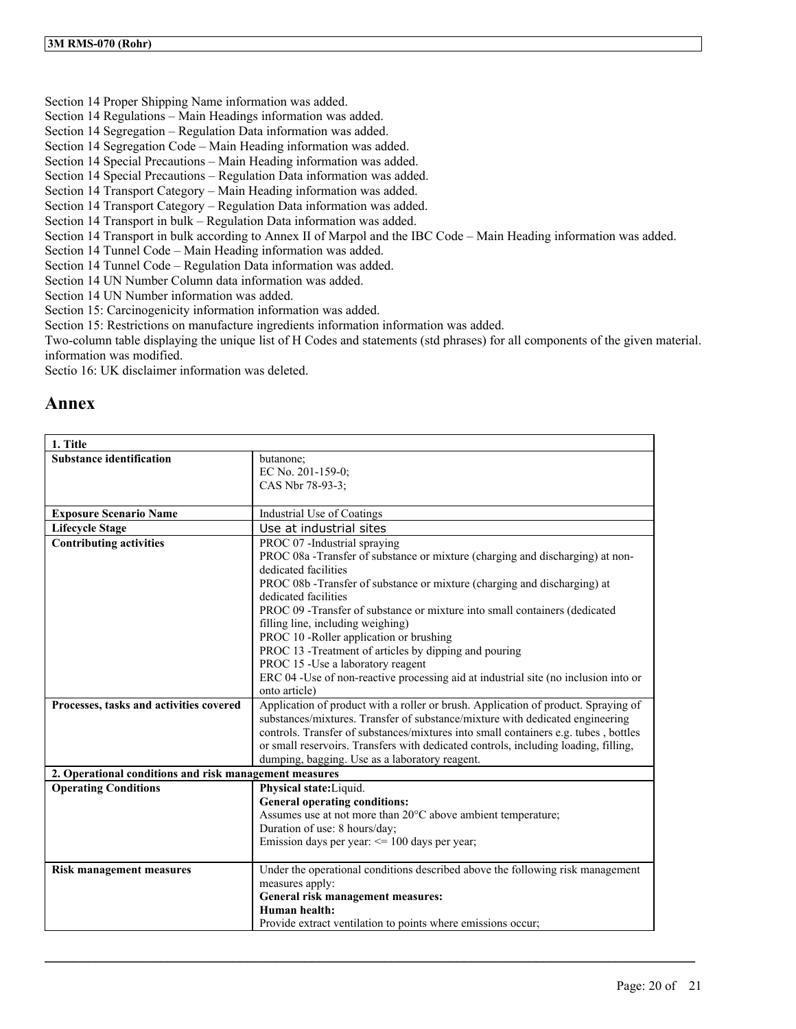Section 14 Proper Shipping Name information was added.

Section 14 Regulations – Main Headings information was added.

- Section 14 Segregation Regulation Data information was added.
- Section 14 Segregation Code Main Heading information was added.
- Section 14 Special Precautions Main Heading information was added.
- Section 14 Special Precautions Regulation Data information was added.
- Section 14 Transport Category Main Heading information was added.
- Section 14 Transport Category Regulation Data information was added.
- Section 14 Transport in bulk Regulation Data information was added.

Section 14 Transport in bulk according to Annex II of Marpol and the IBC Code – Main Heading information was added.

Section 14 Tunnel Code – Main Heading information was added.

Section 14 Tunnel Code – Regulation Data information was added.

Section 14 UN Number Column data information was added.

Section 14 UN Number information was added.

Section 15: Carcinogenicity information information was added.

Section 15: Restrictions on manufacture ingredients information information was added.

Two-column table displaying the unique list of H Codes and statements (std phrases) for all components of the given material. information was modified.

Sectio 16: UK disclaimer information was deleted.

## **Annex**

| 1. Title                                               |                                                                                                                                       |
|--------------------------------------------------------|---------------------------------------------------------------------------------------------------------------------------------------|
| <b>Substance identification</b>                        | butanone;<br>EC No. 201-159-0;                                                                                                        |
|                                                        | CAS Nbr 78-93-3;                                                                                                                      |
|                                                        |                                                                                                                                       |
| <b>Exposure Scenario Name</b>                          | Industrial Use of Coatings                                                                                                            |
| <b>Lifecycle Stage</b>                                 | Use at industrial sites                                                                                                               |
| <b>Contributing activities</b>                         | PROC 07 -Industrial spraying                                                                                                          |
|                                                        | PROC 08a - Transfer of substance or mixture (charging and discharging) at non-                                                        |
|                                                        | dedicated facilities                                                                                                                  |
|                                                        | PROC 08b -Transfer of substance or mixture (charging and discharging) at<br>dedicated facilities                                      |
|                                                        | PROC 09 - Transfer of substance or mixture into small containers (dedicated                                                           |
|                                                        | filling line, including weighing)                                                                                                     |
|                                                        | PROC 10 -Roller application or brushing                                                                                               |
|                                                        | PROC 13 -Treatment of articles by dipping and pouring                                                                                 |
|                                                        | PROC 15 - Use a laboratory reagent                                                                                                    |
|                                                        | ERC 04 -Use of non-reactive processing aid at industrial site (no inclusion into or                                                   |
|                                                        | onto article)                                                                                                                         |
| Processes, tasks and activities covered                | Application of product with a roller or brush. Application of product. Spraying of                                                    |
|                                                        | substances/mixtures. Transfer of substance/mixture with dedicated engineering                                                         |
|                                                        | controls. Transfer of substances/mixtures into small containers e.g. tubes, bottles                                                   |
|                                                        | or small reservoirs. Transfers with dedicated controls, including loading, filling,<br>dumping, bagging. Use as a laboratory reagent. |
| 2. Operational conditions and risk management measures |                                                                                                                                       |
| <b>Operating Conditions</b>                            | Physical state: Liquid.                                                                                                               |
|                                                        | <b>General operating conditions:</b>                                                                                                  |
|                                                        | Assumes use at not more than 20°C above ambient temperature;                                                                          |
|                                                        | Duration of use: 8 hours/day;                                                                                                         |
|                                                        | Emission days per year: $\leq$ 100 days per year;                                                                                     |
|                                                        |                                                                                                                                       |
| <b>Risk management measures</b>                        | Under the operational conditions described above the following risk management                                                        |
|                                                        | measures apply:                                                                                                                       |
|                                                        | General risk management measures:                                                                                                     |
|                                                        | Human health:                                                                                                                         |
|                                                        | Provide extract ventilation to points where emissions occur;                                                                          |